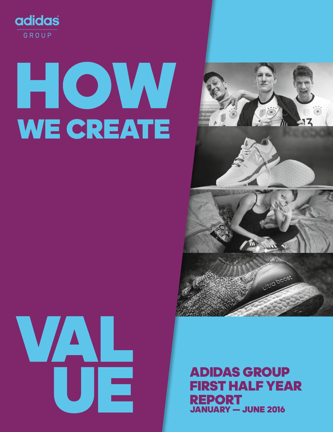

# HOW WE CREATE





ADIDAS GROUP FIRST HALF YEAR REPORT JANUARY — JUNE 2016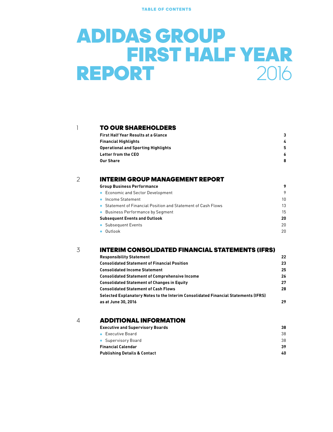TABLE OF CONTENTS

### ADIDAS GROUP **FIRST HALF YEAR**<br>**ORT** 2016 **REPORT 2016**

#### **[TO OUR SHAREHOLDERS](#page-2-0)**

| First Half Year Results at a Glance | 3  |
|-------------------------------------|----|
| Financial Highlights                | 4  |
| Operational and Sporting Highlights | 5. |
| Letter from the CEO                 | 6  |
| Our Share                           | 8  |
|                                     |    |

#### [INTERIM GROUP MANAGEMENT REPORT](#page-8-0) 2

| <b>Group Business Performance</b>                             | 9  |
|---------------------------------------------------------------|----|
| • Economic and Sector Development                             | 9  |
| • Income Statement                                            | 10 |
| • Statement of Financial Position and Statement of Cash Flows | 13 |
| • Business Performance by Segment                             | 15 |
| <b>Subsequent Events and Outlook</b>                          | 20 |
| • Subsequent Events                                           | 20 |
| Outlook                                                       | 20 |
|                                                               |    |

#### [INTERIM CONSOLIDATED FINANCIAL STATEMENTS \(IFRS\)](#page-21-0) 3

| <b>Responsibility Statement</b>                                                    | 22 |
|------------------------------------------------------------------------------------|----|
| <b>Consolidated Statement of Financial Position</b>                                | 23 |
| <b>Consolidated Income Statement</b>                                               | 25 |
| <b>Consolidated Statement of Comprehensive Income</b>                              | 26 |
| <b>Consolidated Statement of Changes in Equity</b>                                 | 27 |
| <b>Consolidated Statement of Cash Flows</b>                                        | 28 |
| Selected Explanatory Notes to the Interim Consolidated Financial Statements (IFRS) |    |
| as at June 30, 2016                                                                | 29 |

#### 4 **[ADDITIONAL INFORMATION](#page-37-0)**

| Executive and Supervisory Boards | 38 |
|----------------------------------|----|
| $\bullet$ Executive Board        | 38 |
| • Supervisory Board              | 38 |
| Financial Calendar               | 39 |
| Publishing Details & Contact     | 40 |
|                                  |    |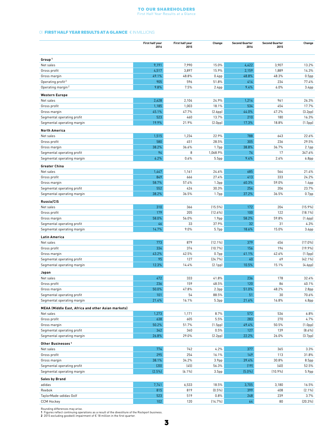#### To Our Shareholders First Half Year Results at a Glance

#### <span id="page-2-0"></span>01 **FIRST HALF YEAR RESULTS AT A GLANCE** € IN MILLIONS

|                                                    | First half year<br>2016 | First half year<br>2015 | Change               | <b>Second Quarter</b><br>2016 | <b>Second Quarter</b><br>2015 | Change               |
|----------------------------------------------------|-------------------------|-------------------------|----------------------|-------------------------------|-------------------------------|----------------------|
|                                                    |                         |                         |                      |                               |                               |                      |
| Group <sup>1</sup>                                 |                         |                         |                      |                               |                               |                      |
| Net sales                                          | 9,191                   | 7,990                   | 15.0%                | 4,422                         | 3,907                         | 13.2%                |
| Gross profit                                       | 4,517                   | 3,897                   | 15.9%                | 2,159                         | 1,889                         | 14.3%                |
| Gross margin                                       | 49.1%                   | 48.8%                   | 0.4 <sub>pp</sub>    | 48.8%                         | 48.3%                         | 0.5 <sub>pp</sub>    |
| Operating profit <sup>2</sup>                      | 905                     | 596                     | 51.8%                | 414                           | 234                           | 77.4%                |
| Operating margin <sup>2</sup>                      | 9.8%                    | 7.5%                    | 2.4 <sub>pp</sub>    | 9.4%                          | 6.0%                          | 3.4 <sub>pp</sub>    |
| <b>Western Europe</b>                              |                         |                         |                      |                               |                               |                      |
| Net sales                                          | 2,628                   | 2,104                   | 24.9%                | 1,214                         | 961                           | 26.3%                |
| Gross profit                                       | 1,185                   | 1,003                   | 18.1%                | 534                           | 454                           | 17.7%                |
| Gross margin                                       | 45.1%                   | 47.7%                   | (2.6 <sub>pp</sub> ) | 44.0%                         | 47.2%                         | (3.2 <sub>pp</sub> ) |
| Segmental operating profit                         | 523                     | 460                     | 13.7%                | 210                           | 180                           | 16.3%                |
| Segmental operating margin                         | 19.9%                   | 21.9%                   | (2.0 <sub>pp</sub> ) | 17.3%                         | 18.8%                         | (1.5pp)              |
|                                                    |                         |                         |                      |                               |                               |                      |
| <b>North America</b>                               |                         |                         |                      |                               |                               |                      |
| Net sales                                          | 1,515                   | 1,234                   | 22.9%                | 788                           | 643                           | 22.6%                |
| Gross profit                                       | 580                     | 451                     | 28.5%                | 305                           | 236                           | 29.5%                |
| Gross margin                                       | 38.2%                   | 36.6%                   | 1.7 <sub>pp</sub>    | 38.8%                         | 36.7%                         | 2.1 <sub>pp</sub>    |
| Segmental operating profit                         | 94                      | 8                       | 1,068.9%             | 74                            | 17                            | 347.6%               |
| Segmental operating margin                         | 6.2%                    | 0.6%                    | 5.5 <sub>pp</sub>    | 9.4%                          | 2.6%                          | 6.8 <sub>pp</sub>    |
| <b>Greater China</b>                               |                         |                         |                      |                               |                               |                      |
| Net sales                                          | 1,447                   | 1,161                   | 24.6%                | 685                           | 564                           | 21.4%                |
| Gross profit                                       | 849                     | 666                     | 27.4%                | 413                           | 333                           | 24.2%                |
| Gross margin                                       | 58.7%                   | 57.4%                   | 1.3 <sub>pp</sub>    | 60.3%                         | 59.0%                         | 1.4 <sub>pp</sub>    |
| Segmental operating profit                         | 552                     | 424                     | 30.3%                | 254                           | 206                           | 23.7%                |
| Segmental operating margin                         | 38.2%                   | 36.5%                   | 1.7 <sub>pp</sub>    | 37.2%                         | 36.5%                         | 0.7 <sub>pp</sub>    |
| Russia/CIS                                         |                         |                         |                      |                               |                               |                      |
| Net sales                                          | 310                     | 366                     | $(15.5\%)$           | 172                           | 204                           | (15.9%               |
| Gross profit                                       | 179                     | 205                     | $(12.6\%)$           | 100                           | 122                           | $(18.1\%)$           |
| Gross margin                                       | 58.0%                   | 56.0%                   | 1.9 <sub>pp</sub>    | 58.2%                         | 59.8%                         | (1.6 <sub>pp</sub> ) |
| Segmental operating profit                         | 46                      | 33                      | 37.9%                | 32                            | 31                            | 4.3%                 |
| Segmental operating margin                         | 14.7%                   | 9.0%                    | 5.7pp                | 18.6%                         | 15.0%                         | 3.6 <sub>pp</sub>    |
| <b>Latin America</b>                               |                         |                         |                      |                               |                               |                      |
| Net sales                                          | 773                     | 879                     | $(12.1\%)$           | 379                           | 456                           | $(17.0\%)$           |
| Gross profit                                       | 334                     | 374                     | (10.7%               | 156                           | 194                           | (19.9%               |
| Gross margin                                       | 43.2%                   | 42.5%                   | 0.7 <sub>pp</sub>    | 41.1%                         | 42.6%                         | (1.5pp)              |
| Segmental operating profit                         | 95                      | 127                     | [24.7%]              | 40                            | 69                            | $(42.1\%)$           |
| Segmental operating margin                         | 12.3%                   | 14.4%                   | (2.1 <sub>pp</sub> ) | 10.5%                         | 15.1%                         | (4.6 <sub>pp</sub> ) |
| Japan                                              |                         |                         |                      |                               |                               |                      |
| Net sales                                          | 472                     | 333                     | 41.8%                | 236                           | 178                           | 32.4%                |
| Gross profit                                       | 236                     | 159                     | 48.5%                | 120                           | 86                            | 40.1%                |
| Gross margin                                       | 50.0%                   | 47.8%                   | 2.3 <sub>pp</sub>    | 51.0%                         | 48.2%                         | 2.8 <sub>pp</sub>    |
| Segmental operating profit                         | 101                     | 54                      | 88.5%                | 51                            | 30                            | 70.6%                |
| Segmental operating margin                         | 21.4%                   | 16.1%                   | 5.3 <sub>pp</sub>    | 21.6%                         | 16.8%                         | 4.8pp                |
|                                                    |                         |                         |                      |                               |                               |                      |
| MEAA (Middle East, Africa and other Asian markets) |                         |                         |                      |                               |                               |                      |
| Net sales                                          | 1,273                   | 1,171                   | 8.7%                 | 572                           | 536                           | 6.8%                 |
| Gross profit                                       | 638                     | 605                     | 5.5%                 | 283                           | 270                           | 4.7%                 |
| Gross margin                                       | 50.2%                   | 51.7%                   | (1.5pp)              | 49.4%                         | 50.5%                         | (1.0 <sub>pp</sub> ) |
| Segmental operating profit                         | 342                     | 340                     | 0.5%                 | 127                           | 139                           | $(8.6\%)$            |
| Segmental operating margin                         | 26.8%                   | 29.0%                   | (2.2pp)              | 22.2%                         | 26.0%                         | (3.7 <sub>pp</sub> ) |
| Other Businesses <sup>1</sup>                      |                         |                         |                      |                               |                               |                      |
| Net sales                                          | 774                     | 742                     | 4.2%                 | 377                           | 365                           | 3.3%                 |
| Gross profit                                       | 295                     | 254                     | 16.1%                | 149                           | 113                           | 31.8%                |
| Gross margin                                       | 38.1%                   | 34.2%                   | 3.9 <sub>pp</sub>    | 39.4%                         | 30.8%                         | 8.5 <sub>pp</sub>    |
| Segmental operating profit                         | (20)                    | (45)                    | 56.3%                | (19)                          | (40)                          | 52.5%                |
| Segmental operating margin                         | $(2.5\%)$               | $(6.1\%)$               | 3.5 <sub>pp</sub>    | $(5.0\%)$                     | $(10.9\%)$                    | 5.9 <sub>pp</sub>    |
| <b>Sales by Brand</b>                              |                         |                         |                      |                               |                               |                      |
| adidas                                             | 7,741                   | 6,533                   | 18.5%                | 3,705                         | 3,180                         | 16.5%                |
| Reebok                                             | 815                     | 819                     | $(0.5\%)$            | 399                           | 408                           | $(2.1\%)$            |
| TaylorMade-adidas Golf                             | 523                     | 519                     | 0.8%                 | 248                           | 239                           | 3.7%                 |
| <b>CCM Hockey</b>                                  | 102                     | 120                     | $(14.7\%)$           | 64                            | 80                            | $(20.3\%)$           |

Rounding differences may arise.<br>1 Figures reflect continuing operations as a result of the divestiture of the Rockport business.<br>2 2015 excluding goodwill impairment of € 18 million in the first quarter.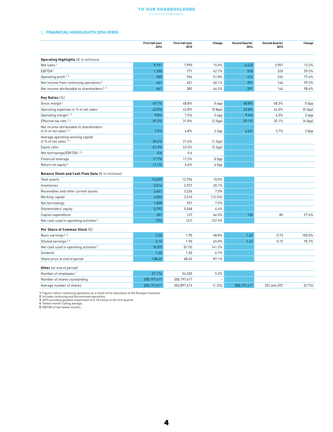#### To Our Shareholders Financial Highlights

#### <span id="page-3-0"></span>02 **FINANCIAL HIGHLIGHTS 2016 (IFRS)**

|                                                                   | First half year<br>2016 | First half year<br>2015 | Change               | <b>Second Quarter</b><br>2016 | <b>Second Quarter</b><br>2015 | Change               |
|-------------------------------------------------------------------|-------------------------|-------------------------|----------------------|-------------------------------|-------------------------------|----------------------|
| Operating Highlights (€ in millions)                              |                         |                         |                      |                               |                               |                      |
| Net sales <sup>1</sup>                                            | 9,191                   | 7,990                   | 15.0%                | 4,422                         | 3,907                         | 13.2%                |
| EBITDA <sup>1</sup>                                               | 1,100                   | 771                     | 42.7%                | 510                           | 320                           | 59.5%                |
| Operating profit <sup>1,3</sup>                                   | 905                     | 596                     | 51.8%                | 414                           | 234                           | 77.4%                |
| Net income from continuing operations <sup>3</sup>                | 641                     | 401                     | 60.1%                | 291                           | 146                           | 99.2%                |
| Net income attributable to shareholders <sup>2, 3</sup>           | 641                     | 385                     | 66.5%                | 291                           | 146                           | 98.6%                |
| Key Ratios [%]                                                    |                         |                         |                      |                               |                               |                      |
| Gross margin <sup>1</sup>                                         | 49.1%                   | 48.8%                   | 0.4 <sub>pp</sub>    | 48.8%                         | 48.3%                         | 0.5 <sub>pp</sub>    |
| Operating expenses in % of net sales <sup>1</sup>                 | 42.0%                   | 42.8%                   | (0.8 <sub>pp</sub> ) | 43.8%                         | 44.0%                         | (0.3 <sub>pp</sub> ) |
| Operating margin <sup>1, 3</sup>                                  | 9.8%                    | 7.5%                    | 2.4 <sub>pp</sub>    | 9.4%                          | 6.0%                          | 3.4 <sub>pp</sub>    |
| Effective tax rate <sup>1,3</sup>                                 | 29.3%                   | 31.8%                   | (2.5pp)              | 29.1%                         | 35.1%                         | (6.0 <sub>pp</sub> ) |
| Net income attributable to shareholders<br>in % of net sales 2, 3 | 7.0%                    | 4.8%                    | 2.2 <sub>pp</sub>    | 6.6%                          | 3.7%                          | 2.8 <sub>pp</sub>    |
| Average operating working capital<br>in % of net sales 1.4        | 20.4%                   | 21.6%                   | (1.2pp)              |                               |                               |                      |
| Equity ratio                                                      | 41.3%                   | 43.5%                   | (2.2pp)              |                               |                               |                      |
| Net borrowings/EBITDA <sup>1,5</sup>                              | 0.6                     | 0.6                     |                      |                               |                               |                      |
| Financial leverage                                                | 17.7%                   | 17.2%                   | 0.5 <sub>pp</sub>    |                               |                               |                      |
| Return on equity <sup>2</sup>                                     | 11.1%                   | 6.6%                    | 4.5pp                |                               |                               |                      |
| Balance Sheet and Cash Flow Data (€ in millions)                  |                         |                         |                      |                               |                               |                      |
| Total assets                                                      | 14,029                  | 12,754                  | 10.0%                |                               |                               |                      |
| Inventories                                                       | 3,514                   | 2,927                   | 20.1%                |                               |                               |                      |
| Receivables and other current assets                              | 3,461                   | 3,236                   | 7.0%                 |                               |                               |                      |
| Working capital                                                   | 2,202                   | 2,510                   | $(12.3\%)$           |                               |                               |                      |
| Net borrowings                                                    | 1,028                   | 957                     | 7.5%                 |                               |                               |                      |
| Shareholders' equity                                              | 5,792                   | 5,548                   | 4.4%                 |                               |                               |                      |
| Capital expenditure                                               | 201                     | 137                     | 46.5%                | 133                           | 85                            | 57.6%                |
| Net cash used in operating activities <sup>2</sup>                | (75)                    | (31)                    | 137.9%               |                               |                               |                      |
| Per Share of Common Stock (€)                                     |                         |                         |                      |                               |                               |                      |
| Basic earnings <sup>2, 3</sup>                                    | 3.20                    | 1.90                    | 68.8%                | 1.45                          | 0.73                          | 100.0%               |
| Diluted earnings <sup>2, 3</sup>                                  | 3.13                    | 1.90                    | 65.0%                | 1.42                          | 0.73                          | 95.7%                |
| Net cash used in operating activities <sup>2</sup>                | (0.37)                  | (0.15)                  | 141.2%               |                               |                               |                      |
| Dividend                                                          | 1.60                    | 1.50                    | 6.7%                 |                               |                               |                      |
| Share price at end of period                                      | 128.45                  | 68.65                   | 87.1%                |                               |                               |                      |
| <b>Other</b> (at end of period)                                   |                         |                         |                      |                               |                               |                      |
| Number of employees <sup>1</sup>                                  | 57,176                  | 54,335                  | 5.2%                 |                               |                               |                      |
| Number of shares outstanding                                      | 200,197,417             | 200,197,417             |                      |                               |                               |                      |
| Average number of shares                                          | 200,197,417             | 202,897,613             | $(1.3\%)$            | 200.197.417                   | 201.644.392                   | [0.7%]               |

1 Figures reflect continuing operations as a result of the divestiture of the Rockport business.<br>2 Includes continuing and discontinued operations.<br>3 2015 excluding goodwill impairment of € 18 million in the first quarter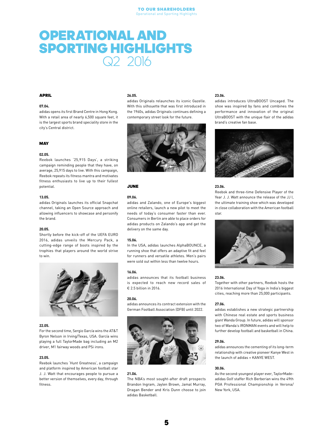### <span id="page-4-0"></span>OPERATIONAL AND SPORTING HIGHLIGHTS Q2 2016

#### APRIL

#### 07.04.

adidas opens its first Brand Centre in Hong Kong. With a retail area of nearly 6,500 square feet, it is the largest sports brand speciality store in the city's Central district.

#### **MAY**

#### 02.05.

Reebok launches '25,915 Days', a striking campaign reminding people that they have, on average, 25,915 days to live. With this campaign, Reebok repeats its fitness mantra and motivates fitness enthusiasts to live up to their fullest potential.

#### 13.05.

adidas Originals launches its official Snapchat channel, taking an Open Source approach and allowing influencers to showcase and personify the brand.

#### 20.05.

Shortly before the kick-off of the UEFA EURO 2016, adidas unveils the Mercury Pack, a cutting-edge range of boots inspired by the trophies that players around the world strive to win.



#### 22.05.

For the second time, Sergio García wins the AT&T Byron Nelson in Irving/Texas, USA. García wins playing a full TaylorMade bag including an M2 driver, M1 fairway woods and PSi irons.

#### 23.05.

Reebok launches 'Hunt Greatness', a campaign and platform inspired by American football star J. J. Watt that encourages people to pursue a better version of themselves, every day, through fitness.

#### 26.05.

adidas Originals relaunches its iconic Gazelle. With this silhouette that was first introduced in the 1960s, adidas Originals continues defining a contemporary street look for the future.



#### JUNE

#### 09.06.

adidas and Zalando, one of Europe's biggest online retailers, launch a new pilot to meet the needs of today's consumer faster than ever. Consumers in Berlin are able to place orders for adidas products on Zalando's app and get the delivery on the same day.

#### 15.06.

In the USA, adidas launches AlphaBOUNCE, a running shoe that offers an adaptive fit and feel for runners and versatile athletes. Men's pairs were sold out within less than twelve hours.

#### 16.06.

adidas announces that its football business is expected to reach new record sales of € 2.5 billion in 2016.

#### 20.06.

adidas announces its contract extension with the German Football Association (DFB) until 2022.



#### 21.06.

The NBA's most sought-after draft prospects Brandon Ingram, Jaylen Brown, Jamal Murray, Dragan Bender and Kris Dunn choose to join adidas Basketball.

#### 23.06.

adidas introduces UltraBOOST Uncaged. The shoe was inspired by fans and combines the performance and innovation of the original UltraBOOST with the unique flair of the adidas brand's creative fan base.



#### 23.06.

Reebok and three-time Defensive Player of the Year J. J. Watt announce the release of the JJ I, the ultimate training shoe which was developed in close collaboration with the American football star.



#### 23.06.

Together with other partners, Reebok hosts the 2016 International Day of Yoga in India's biggest cities, reaching more than 25,000 participants.

#### 27.06.

adidas establishes a new strategic partnership with Chinese real estate and sports business giant Wanda Group. In future, adidas will sponsor two of Wanda's IRONMAN events and will help to further develop football and basketball in China.

#### 29.06.

adidas announces the cementing of its long-term relationship with creative pioneer Kanye West in the launch of adidas + KANYE WEST.

#### 30.06.

As the second-youngest player ever, TaylorMadeadidas Golf staffer Rich Berberian wins the 49th PGA Professional Championship in Verona/ New York, USA.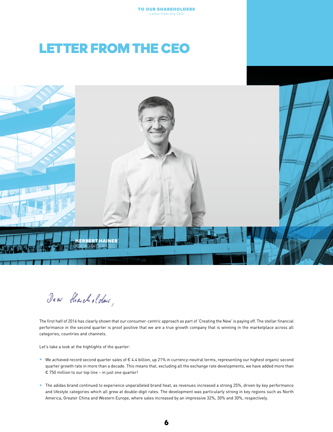### <span id="page-5-0"></span>LETTER FROM THE CEO



Jean Sharcholders,

The first half of 2016 has clearly shown that our consumer-centric approach as part of 'Creating the New' is paying off. The stellar financial performance in the second quarter is proof positive that we are a true growth company that is winning in the marketplace across all categories, countries and channels.

Let's take a look at the highlights of the quarter:

- We achieved record second quarter sales of € 4.4 billion, up 21% in currency-neutral terms, representing our highest organic second quarter growth rate in more than a decade. This means that, excluding all the exchange rate developments, we have added more than € 750 million to our top line – in just one quarter!
- The adidas brand continued to experience unparalleled brand heat, as revenues increased a strong 25%, driven by key performance and lifestyle categories which all grew at double-digit rates. The development was particularly strong in key regions such as North America, Greater China and Western Europe, where sales increased by an impressive 32%, 30% and 30%, respectively.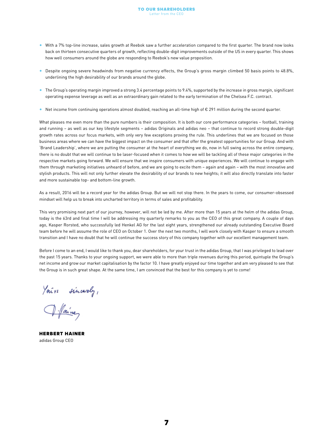- With a 7% top-line increase, sales growth at Reebok saw a further acceleration compared to the first quarter. The brand now looks back on thirteen consecutive quarters of growth, reflecting double-digit improvements outside of the US in every quarter. This shows how well consumers around the globe are responding to Reebok's new value proposition.
- Despite ongoing severe headwinds from negative currency effects, the Group's gross margin climbed 50 basis points to 48.8%, underlining the high desirability of our brands around the globe.
- The Group's operating margin improved a strong 3.4 percentage points to 9.4%, supported by the increase in gross margin, significant operating expense leverage as well as an extraordinary gain related to the early termination of the Chelsea F.C. contract.
- Net income from continuing operations almost doubled, reaching an all-time high of € 291 million during the second quarter.

What pleases me even more than the pure numbers is their composition. It is both our core performance categories – football, training and running – as well as our key lifestyle segments – adidas Originals and adidas neo – that continue to record strong double-digit growth rates across our focus markets, with only very few exceptions proving the rule. This underlines that we are focused on those business areas where we can have the biggest impact on the consumer and that offer the greatest opportunities for our Group. And with 'Brand Leadership', where we are putting the consumer at the heart of everything we do, now in full swing across the entire company, there is no doubt that we will continue to be laser-focused when it comes to how we will be tackling all of these major categories in the respective markets going forward. We will ensure that we inspire consumers with unique experiences. We will continue to engage with them through marketing initiatives unheard of before, and we are going to excite them – again and again – with the most innovative and stylish products. This will not only further elevate the desirability of our brands to new heights; it will also directly translate into faster and more sustainable top- and bottom-line growth.

As a result, 2016 will be a record year for the adidas Group. But we will not stop there. In the years to come, our consumer-obsessed mindset will help us to break into uncharted territory in terms of sales and profitability.

This very promising next part of our journey, however, will not be led by me. After more than 15 years at the helm of the adidas Group, today is the 63rd and final time I will be addressing my quarterly remarks to you as the CEO of this great company. A couple of days ago, Kasper Rorsted, who successfully led Henkel AG for the last eight years, strengthened our already outstanding Executive Board team before he will assume the role of CEO on October 1. Over the next two months, I will work closely with Kasper to ensure a smooth transition and I have no doubt that he will continue the success story of this company together with our excellent management team.

Before I come to an end, I would like to thank you, dear shareholders, for your trust in the adidas Group, that I was privileged to lead over the past 15 years. Thanks to your ongoing support, we were able to more than triple revenues during this period, quintuple the Group's net income and grow our market capitalisation by the factor 10. I have greatly enjoyed our time together and am very pleased to see that the Group is in such great shape. At the same time, I am convinced that the best for this company is yet to come!

You're sincerely,<br>I faine

**HERBERT HAINER** adidas Group CEO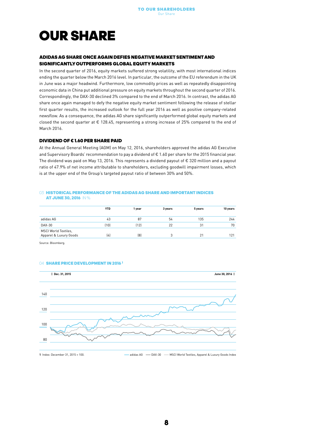### <span id="page-7-0"></span>OUR SHARE

#### ADIDAS AG SHARE ONCE AGAIN DEFIES NEGATIVE MARKET SENTIMENT AND SIGNIFICANTLY OUTPERFORMS GLOBAL EQUITY MARKETS

In the second quarter of 2016, equity markets suffered strong volatility, with most international indices ending the quarter below the March 2016 level. In particular, the outcome of the EU referendum in the UK in June was a major headwind. Furthermore, low commodity prices as well as repeatedly disappointing economic data in China put additional pressure on equity markets throughout the second quarter of 2016. Correspondingly, the DAX-30 declined 3% compared to the end of March 2016. In contrast, the adidas AG share once again managed to defy the negative equity market sentiment following the release of stellar first quarter results, the increased outlook for the full year 2016 as well as positive company-related newsflow. As a consequence, the adidas AG share significantly outperformed global equity markets and closed the second quarter at € 128.45, representing a strong increase of 25% compared to the end of March 2016.

#### DIVIDEND OF € 1.60 PER SHARE PAID

At the Annual General Meeting (AGM) on May 12, 2016, shareholders approved the adidas AG Executive and Supervisory Boards' recommendation to pay a dividend of € 1.60 per share for the 2015 financial year. The dividend was paid on May 13, 2016. This represents a dividend payout of € 320 million and a payout ratio of 47.9% of net income attributable to shareholders, excluding goodwill impairment losses, which is at the upper end of the Group's targeted payout ratio of between 30% and 50%.

#### 03 HISTORICAL PERFORMANCE OF THE ADIDAS AG SHARE AND IMPORTANT INDICES AT JUNE 30, 2016 IN %

|                                                | <b>YTD</b> | 1 year | 3 years | 5 years | 10 years |
|------------------------------------------------|------------|--------|---------|---------|----------|
| adidas AG                                      | 43         | 87     | 54      | 135     | 244      |
| DAX-30                                         | (10)       | (12)   | 22      | 31      | 70       |
| MSCI World Textiles,<br>Apparel & Luxury Goods | (4)        | [8]    | м.      | 21      | 121      |

Source: Bloomberg.

#### 04 SHARE PRICE DEVELOPMENT IN 2016<sup>1</sup>



1 Index: December 31, 2015 = 100. 
<br> **1** Index: December 31, 2015 = 100. 
<br> **1** Index: December 31, 2015 = 100.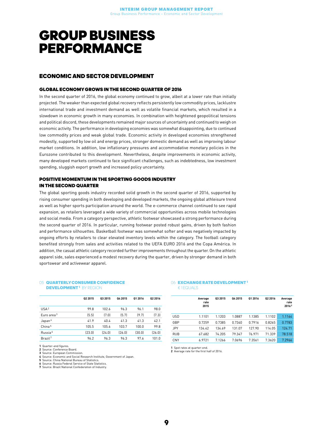### <span id="page-8-0"></span>GROUP BUSINESS PERFORMANCE

#### ECONOMIC AND SECTOR DEVELOPMENT

#### GLOBAL ECONOMY GROWS IN THE SECOND QUARTER OF 2016

In the second quarter of 2016, the global economy continued to grow, albeit at a lower rate than initially projected. The weaker than expected global recovery reflects persistently low commodity prices, lacklustre international trade and investment demand as well as volatile financial markets, which resulted in a slowdown in economic growth in many economies. In combination with heightened geopolitical tensions and political discord, these developments remained major sources of uncertainty and continued to weigh on economic activity. The performance in developing economies was somewhat disappointing, due to continued low commodity prices and weak global trade. Economic activity in developed economies strengthened modestly, supported by low oil and energy prices, stronger domestic demand as well as improving labour market conditions. In addition, low inflationary pressures and accommodative monetary policies in the Eurozone contributed to this development. Nevertheless, despite improvements in economic activity, many developed markets continued to face significant challenges, such as indebtedness, low investment spending, sluggish export growth and increased policy uncertainty.

#### POSITIVE MOMENTUM IN THE SPORTING GOODS INDUSTRY IN THE SECOND QUARTER

The global sporting goods industry recorded solid growth in the second quarter of 2016, supported by rising consumer spending in both developing and developed markets, the ongoing global athleisure trend as well as higher sports participation around the world. The e-commerce channel continued to see rapid expansion, as retailers leveraged a wide variety of commercial opportunities across mobile technologies and social media. From a category perspective, athletic footwear showcased a strong performance during the second quarter of 2016. In particular, running footwear posted robust gains, driven by both fashion and performance silhouettes. Basketball footwear was somewhat softer and was negatively impacted by ongoing efforts by retailers to clear elevated inventory levels within the category. The football category benefited strongly from sales and activities related to the UEFA EURO 2016 and the Copa América. In addition, the casual athletic category recorded further improvements throughout the quarter. On the athletic apparel side, sales experienced a modest recovery during the quarter, driven by stronger demand in both sportswear and activewear apparel.

#### 05 QUARTERLY CONSUMER CONFIDENCE DEVELOPMENT<sup>1</sup> BY REGION

|                        | 02 2015 | 03 2015 | Q4 2015 | 01 2016 | 02 2016 |
|------------------------|---------|---------|---------|---------|---------|
| USA <sup>2</sup>       | 99.8    | 102.6   | 96.3    | 96.1    | 98.0    |
| Euro area <sup>3</sup> | (5.5)   | (7.0)   | (5.7)   | (9.7)   | (7.3)   |
| Japan <sup>4</sup>     | 41.9    | 40.4    | 41.3    | 41.3    | 42.1    |
| China <sup>5</sup>     | 105.5   | 105.6   | 103.7   | 100.0   | 99.8    |
| Russia <sup>6</sup>    | [23.0]  | [24.0]  | [26.0]  | (30.0)  | (26.0)  |
| Brazil <sup>7</sup>    | 96.2    | 96.3    | 96.3    | 97.6    | 101.0   |

#### 06 **EXCHANGE RATE DEVELOPMENT<sup>1</sup>** € 1 EQUALS

|            | Average<br>rate<br>2015 | 03 2015 | 04 2015 | 01 2016 | Q2 2016 | Average<br>rate<br>20162 |
|------------|-------------------------|---------|---------|---------|---------|--------------------------|
| <b>USD</b> | 1.1101                  | 1.1203  | 1.0887  | 1.1385  | 1.1102  | 1.1164                   |
| GBP        | 0.7259                  | 0.7385  | 0.7340  | 0.7916  | 0.8265  | 0.7783                   |
| <b>JPY</b> | 134.42                  | 134.69  | 131.07  | 127.90  | 114.05  | 124.71                   |
| <b>RUB</b> | 67.682                  | 74.205  | 79.347  | 76.971  | 71.339  | 78.518                   |
| <b>CNY</b> | 6.9721                  | 7.1266  | 7.0696  | 7.3561  | 7.3620  | 7.2966                   |

1 Quarter-end figures.

2 Source: Conference Board.

3 Source: European Commission.

4 Source: Economic and Social Research Institute, Government of Japan. 5 Source: China National Bureau of Statistics.

6 Source: Russia Federal Service of State Statistics.

**7** Source: Rassia Federation Reference of State Statistics.

1 Spot rates at quarter-end. 2 Average rate for the first half of 2016.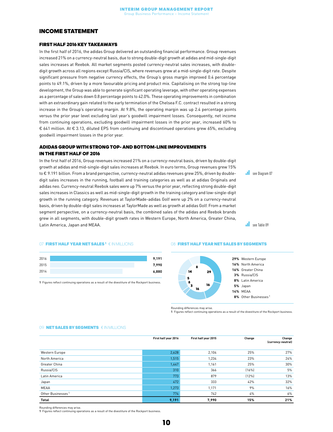#### <span id="page-9-0"></span>INCOME STATEMENT

#### FIRST HALF 2016 KEY TAKEAWAYS

In the first half of 2016, the adidas Group delivered an outstanding financial performance. Group revenues increased 21% on a currency-neutral basis, due to strong double-digit growth at adidas and mid-single-digit sales increases at Reebok. All market segments posted currency-neutral sales increases, with doubledigit growth across all regions except Russia/CIS, where revenues grew at a mid-single-digit rate. Despite significant pressure from negative currency effects, the Group's gross margin improved 0.4 percentage points to 49.1%, driven by a more favourable pricing and product mix. Capitalising on the strong top-line development, the Group was able to generate significant operating leverage, with other operating expenses as a percentage of sales down 0.8 percentage points to 42.0%. These operating improvements in combination with an extraordinary gain related to the early termination of the Chelsea F.C. contract resulted in a strong increase in the Group's operating margin. At 9.8%, the operating margin was up 2.4 percentage points versus the prior year level excluding last year's goodwill impairment losses. Consequently, net income from continuing operations, excluding goodwill impairment losses in the prior year, increased 60% to € 641 million. At € 3.13, diluted EPS from continuing and discontinued operations grew 65%, excluding goodwill impairment losses in the prior year.

#### ADIDAS GROUP WITH STRONG TOP- AND BOTTOM-LINE IMPROVEMENTS IN THE FIRST HALF OF 2016

In the first half of 2016, Group revenues increased 21% on a currency-neutral basis, driven by double-digit growth at adidas and mid-single-digit sales increases at Reebok. In euro terms, Group revenues grew 15% to € 9.191 billion. From a brand perspective, currency-neutral adidas revenues grew 25%, driven by doubledigit sales increases in the running, football and training categories as well as at adidas Originals and adidas neo. Currency-neutral Reebok sales were up 7% versus the prior year, reflecting strong double-digit sales increases in Classics as well as mid-single-digit growth in the training category and low-single-digit growth in the running category. Revenues at TaylorMade-adidas Golf were up 2% on a currency-neutral basis, driven by double-digit sales increases at TaylorMade as well as growth at adidas Golf. From a market segment perspective, on a currency-neutral basis, the combined sales of the adidas and Reebok brands grew in all segments, with double-digit growth rates in Western Europe, North America, Greater China, Latin America, Japan and MEAA.

**see Diagram 07** 

**all** see Table 09

#### 07 **FIRST HALF YEAR NET SALES <sup>1</sup> € IN MILLIONS**

| 2016 | 9,191 |
|------|-------|
| 2015 | 7,990 |
| 2014 | 6,880 |

1 Figures reflect continuing operations as a result of the divestiture of the Rockport business.

#### **08 FIRST HALF YEAR NET SALES BY SEGMENTS**



Rounding differences may arise.

1 Figures reflect continuing operations as a result of the divestiture of the Rockport business.

#### 09 NET SALES BY SEGMENTS € IN MILLIONS

|                               | First half year 2016 | First half year 2015 | Change | Change<br>(currency-neutral) |
|-------------------------------|----------------------|----------------------|--------|------------------------------|
| Western Europe                | 2,628                | 2,104                | 25%    | 27%                          |
| North America                 | 1,515                | 1,234                | 23%    | 24%                          |
| Greater China                 | 1,447                | 1,161                | 25%    | 30%                          |
| Russia/CIS                    | 310                  | 366                  | (16%)  | 5%                           |
| Latin America                 | 773                  | 879                  | (12%)  | 13%                          |
| Japan                         | 472                  | 333                  | 42%    | 32%                          |
| <b>MEAA</b>                   | 1,273                | 1,171                | 9%     | 16%                          |
| Other Businesses <sup>1</sup> | 774                  | 742                  | 4%     | $6\%$                        |
| Total                         | 9,191                | 7,990                | 15%    | 21%                          |

Rounding differences may arise.

1 Figures reflect continuing operations as a result of the divestiture of the Rockport business.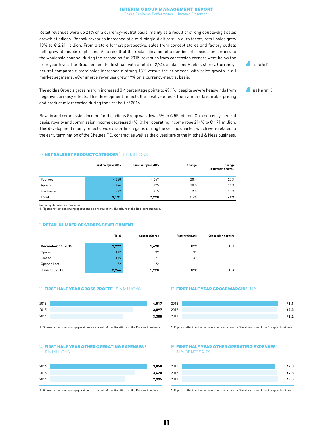#### Interim Group Management Report Group Business Performance – Income Statement

Retail revenues were up 21% on a currency-neutral basis, mainly as a result of strong double-digit sales growth at adidas. Reebok revenues increased at a mid-single-digit rate. In euro terms, retail sales grew 13% to € 2.211 billion. From a store format perspective, sales from concept stores and factory outlets both grew at double-digit rates. As a result of the reclassification of a number of concession corners to the wholesale channel during the second half of 2015, revenues from concession corners were below the prior year level. The Group ended the first half with a total of 2,744 adidas and Reebok stores. Currencyneutral comparable store sales increased a strong 13% versus the prior year, with sales growth in all market segments. eCommerce revenues grew 49% on a currency-neutral basis.

see Table 11

**see Diagram 13** 

The adidas Group's gross margin increased 0.4 percentage points to 49.1%, despite severe headwinds from negative currency effects. This development reflects the positive effects from a more favourable pricing and product mix recorded during the first half of 2016.

Royalty and commission income for the adidas Group was down 5% to € 55 million. On a currency-neutral basis, royalty and commission income decreased 4%. Other operating income rose 214% to € 191 million. This development mainly reflects two extraordinary gains during the second quarter, which were related to the early termination of the Chelsea F.C. contract as well as the divestiture of the Mitchell & Ness business.

#### 10 NET SALES BY PRODUCT CATEGORY 1 € IN MILLIONS

|              | First half year 2016 | First half year 2015 | Change | Change<br>(currency-neutral) |
|--------------|----------------------|----------------------|--------|------------------------------|
| Footwear     | 4,860                | 4.049                | 20%    | 27%                          |
| Apparel      | 3,444                | 3,125                | 10%    | 16%                          |
| Hardware     | 887                  | 815                  | 9%     | 13%                          |
| <b>Total</b> | 9,191                | 7.990                | 15%    | 21%                          |

Rounding differences may arise. 1 Figures reflect continuing operations as a result of the divestiture of the Rockport business.

#### 11 RETAIL NUMBER OF STORES DEVELOPMENT

|                   | Total | <b>Concept Stores</b> | <b>Factory Outlets</b>   | <b>Concession Corners</b> |
|-------------------|-------|-----------------------|--------------------------|---------------------------|
| December 31, 2015 | 2,722 | 1,698                 | 872                      | 152                       |
| Opened            | 137   | 99                    | 31                       | $\mathbf{r}$              |
| Closed            | 115   | 77                    | 31                       |                           |
| Opened (net)      | 22    | 22                    | $\overline{\phantom{0}}$ |                           |
| June 30, 2016     | 2.744 | 1,720                 | 872                      | 152                       |

#### 12 FIRST HALF YEAR GROSS PROFIT 1 € IN MILLIONS

| 2016 |  | 4,517 |
|------|--|-------|
| 2015 |  | 3,897 |
| 2014 |  | 3,385 |

1 Figures reflect continuing operations as a result of the divestiture of the Rockport business.

#### 14 FIRST HALF YEAR OTHER OPERATING EXPENSES<sup>1</sup> € IN MILLIONS

| 2016 | 3,858 |
|------|-------|
| 2015 | 3,420 |
| 2014 | 2,995 |

1 Figures reflect continuing operations as a result of the divestiture of the Rockport business.

#### 13 **FIRST HALF YEAR GROSS MARGIN <sup>1</sup> IN %**

| 49.1 | 2016 |
|------|------|
| 48.8 | 2015 |
| 49.2 | 2014 |
|      |      |

1 Figures reflect continuing operations as a result of the divestiture of the Rockport business.

#### 15 **FIRST HALF YEAR OTHER OPERATING EXPENSES**<sup>1</sup> IN % OF NET SALES

| 2016 | 42.0 |
|------|------|
| 2015 | 42.8 |
| 2014 | 43.5 |

1 Figures reflect continuing operations as a result of the divestiture of the Rockport business.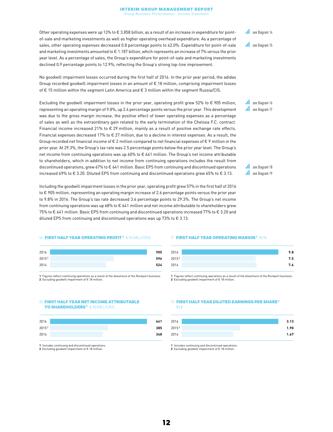#### Interim Group Management Report Group Business Performance – Income Statement

Other operating expenses were up 13% to € 3.858 billion, as a result of an increase in expenditure for pointof-sale and marketing investments as well as higher operating overhead expenditure. As a percentage of sales, other operating expenses decreased 0.8 percentage points to 42.0%. Expenditure for point-of-sale and marketing investments amounted to € 1.187 billion, which represents an increase of 7% versus the prior year level. As a percentage of sales, the Group's expenditure for point-of-sale and marketing investments declined 0.9 percentage points to 12.9%, reflecting the Group's strong top-line improvement.

No goodwill impairment losses occurred during the first half of 2016. In the prior year period, the adidas Group recorded goodwill impairment losses in an amount of € 18 million, comprising impairment losses of € 15 million within the segment Latin America and € 3 million within the segment Russia/CIS.

Excluding the goodwill impairment losses in the prior year, operating profit grew 52% to € 905 million, representing an operating margin of 9.8%, up 2.4 percentage points versus the prior year. This development was due to the gross margin increase, the positive effect of lower operating expenses as a percentage of sales as well as the extraordinary gain related to the early termination of the Chelsea F.C. contract. Financial income increased 21% to € 29 million, mainly as a result of positive exchange rate effects. Financial expenses decreased 17% to  $\epsilon$  27 million, due to a decline in interest expenses. As a result, the Group recorded net financial income of  $\epsilon$  2 million compared to net financial expenses of  $\epsilon$  9 million in the prior year. At 29.3%, the Group's tax rate was 2.5 percentage points below the prior year level. The Group's net income from continuing operations was up 60% to € 641 million. The Group's net income attributable to shareholders, which in addition to net income from continuing operations includes the result from discontinued operations, grew 67% to € 641 million. Basic EPS from continuing and discontinued operations increased 69% to € 3.20. Diluted EPS from continuing and discontinued operations grew 65% to € 3.13.

Including the goodwill impairment losses in the prior year, operating profit grew 57% in the first half of 2016 to € 905 million, representing an operating margin increase of 2.6 percentage points versus the prior year to 9.8% in 2016. The Group's tax rate decreased 3.6 percentage points to 29.3%. The Group's net income from continuing operations was up 68% to € 641 million and net income attributable to shareholders grew 75% to € 641 million. Basic EPS from continuing and discontinued operations increased 77% to € 3.20 and diluted EPS from continuing and discontinued operations was up 73% to  $\epsilon$  3.13.

#### **16 FIRST HALF YEAR OPERATING PROFIT <sup>1</sup> € IN MILLIONS**

| 2016  |  | 905 |
|-------|--|-----|
| 20152 |  | 596 |
| 2014  |  | 524 |
|       |  |     |

1 Figures reflect continuing operations as a result of the divestiture of the Rockport business. 2 Excluding goodwill impairment of € 18 million.

#### 18 FIRST HALF YEAR NET INCOME ATTRIBUTABLE TO SHAREHOLDERS<sup>1</sup> € IN MILLIONS

| 2016  |  | 641 |
|-------|--|-----|
| 20152 |  | 385 |
| 2014  |  | 348 |

1 Includes continuing and discontinued operations.

2 Excluding goodwill impairment of € 18 million.

#### 17 **FIRST HALF YEAR OPERATING MARGIN <sup>1</sup> IN %**

| 2016  | 9.8 |
|-------|-----|
| 20152 | 7.5 |
| 2014  | 7.6 |
|       |     |

1 Figures reflect continuing operations as a result of the divestiture of the Rockport business. 2 Excluding goodwill impairment of € 18 million.

#### 19 FIRST HALF YEAR DILUTED EARNINGS PER SHARE<sup>1</sup> IN €



1 Includes continuing and discontinued operations.

2 Excluding goodwill impairment of € 18 million.

**Il** see Diagram 16 **I** see Diagram 17

**see Diagram 14** 

**see Diagram 15** 

**Il** see Diagram 18 **I** see Diagram 19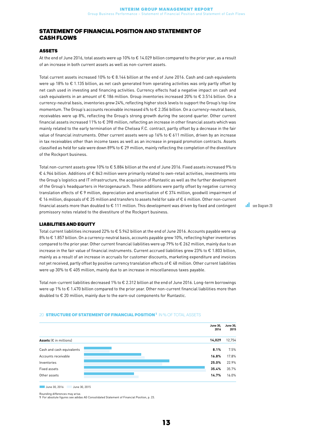#### <span id="page-12-0"></span>STATEMENT OF FINANCIAL POSITION AND STATEMENT OF CASH FLOWS

#### ASSETS

At the end of June 2016, total assets were up 10% to € 14.029 billion compared to the prior year, as a result of an increase in both current assets as well as non-current assets.

Total current assets increased 10% to € 8.144 billion at the end of June 2016. Cash and cash equivalents were up 18% to € 1.135 billion, as net cash generated from operating activities was only partly offset by net cash used in investing and financing activities. Currency effects had a negative impact on cash and cash equivalents in an amount of € 186 million. Group inventories increased 20% to € 3.514 billion. On a currency-neutral basis, inventories grew 24%, reflecting higher stock levels to support the Group's top-line momentum. The Group's accounts receivable increased 4% to € 2.356 billion. On a currency-neutral basis, receivables were up 8%, reflecting the Group's strong growth during the second quarter. Other current financial assets increased 11% to € 398 million, reflecting an increase in other financial assets which was mainly related to the early termination of the Chelsea F.C. contract, partly offset by a decrease in the fair value of financial instruments. Other current assets were up 16% to € 611 million, driven by an increase in tax receivables other than income taxes as well as an increase in prepaid promotion contracts. Assets classified as held for sale were down 89% to € 29 million, mainly reflecting the completion of the divestiture of the Rockport business.

Total non-current assets grew 10% to € 5.884 billion at the end of June 2016. Fixed assets increased 9% to € 4.964 billion. Additions of € 843 million were primarily related to own-retail activities, investments into the Group's logistics and IT infrastructure, the acquisition of Runtastic as well as the further development of the Group's headquarters in Herzogenaurach. These additions were partly offset by negative currency translation effects of € 9 million, depreciation and amortisation of € 374 million, goodwill impairment of € 16 million, disposals of € 25 million and transfers to assets held for sale of € 6 million. Other non-current financial assets more than doubled to € 111 million. This development was driven by fixed and contingent promissory notes related to the divestiture of the Rockport business.

#### LIABILITIES AND EQUITY

Total current liabilities increased 22% to € 5.942 billion at the end of June 2016. Accounts payable were up 8% to € 1.857 billion. On a currency-neutral basis, accounts payable grew 10%, reflecting higher inventories compared to the prior year. Other current financial liabilities were up 79% to € 262 million, mainly due to an increase in the fair value of financial instruments. Current accrued liabilities grew 23% to € 1.803 billion, mainly as a result of an increase in accruals for customer discounts, marketing expenditure and invoices not yet received, partly offset by positive currency translation effects of € 48 million. Other current liabilities were up 30% to € 405 million, mainly due to an increase in miscellaneous taxes payable.

Total non-current liabilities decreased 1% to € 2.312 billion at the end of June 2016. Long-term borrowings were up 1% to € 1.470 billion compared to the prior year. Other non-current financial liabilities more than doubled to € 20 million, mainly due to the earn-out components for Runtastic.

#### 20 STRUCTURE OF STATEMENT OF FINANCIAL POSITION<sup>1</sup> IN % OF TOTAL ASSETS



■ June 30, 2016 ■ June 30, 2015

Rounding differences may arise. 1 For absolute figures see adidas AG Consolidated Statement of Financial Position, p. 23. **I** see Diagram 20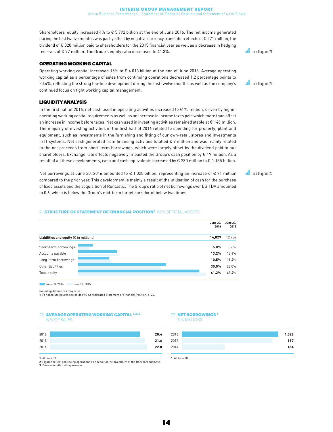Shareholders' equity increased 4% to € 5.792 billion at the end of June 2016. The net income generated during the last twelve months was partly offset by negative currency translation effects of  $\epsilon$  271 million, the dividend of € 320 million paid to shareholders for the 2015 financial year as well as a decrease in hedging reserves of € 77 million. The Group's equity ratio decreased to 41.3%.

#### OPERATING WORKING CAPITAL

Operating working capital increased 15% to € 4.013 billion at the end of June 2016. Average operating working capital as a percentage of sales from continuing operations decreased 1.2 percentage points to 20.4%, reflecting the strong top-line development during the last twelve months as well as the company's continued focus on tight working capital management.

#### LIQUIDITY ANALYSIS

In the first half of 2016, net cash used in operating activities increased to € 75 million, driven by higher operating working capital requirements as well as an increase in income taxes paid which more than offset an increase in income before taxes. Net cash used in investing activities remained stable at  $\epsilon$  146 million. The majority of investing activities in the first half of 2016 related to spending for property, plant and equipment, such as investments in the furnishing and fitting of our own-retail stores and investments in IT systems. Net cash generated from financing activities totalled € 9 million and was mainly related to the net proceeds from short-term borrowings, which were largely offset by the dividend paid to our shareholders. Exchange rate effects negatively impacted the Group's cash position by € 19 million. As a result of all these developments, cash and cash equivalents increased by € 230 million to € 1.135 billion.

Net borrowings at June 30, 2016 amounted to € 1.028 billion, representing an increase of € 71 million compared to the prior year. This development is mainly a result of the utilisation of cash for the purchase of fixed assets and the acquisition of Runtastic. The Group's ratio of net borrowings over EBITDA amounted to 0.6, which is below the Group's mid-term target corridor of below two times.

#### 21 STRUCTURE OF STATEMENT OF FINANCIAL POSITION<sup>1</sup> IN % OF TOTAL ASSETS



■ June 30, 2016 ■ June 30, 2015

Rounding differences may arise.

1 For absolute figures see adidas AG Consolidated Statement of Financial Position, p. 24.

#### 22 AVERAGE OPERATING WORKING CAPITAL 1, 2, 3

IN % OF SALES

| 2016 | 20.4 |
|------|------|
| 2015 | 21.6 |
| 2014 | 22.0 |

1 At June 30.

2 Figures reflect continuing operations as a result of the divestiture of the Rockport business. 3 Twelve-month trailing average.

#### 23 NET ROPPOWINGS

€ IN MILLIONS



1 At June 30.

**see Diagram 21** 

**see Diagram 22** 

**see Diagram 23**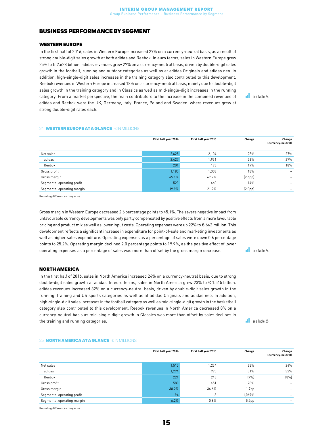#### <span id="page-14-0"></span>BUSINESS PERFORMANCE BY SEGMENT

#### WESTERN EUROPE

In the first half of 2016, sales in Western Europe increased 27% on a currency-neutral basis, as a result of strong double-digit sales growth at both adidas and Reebok. In euro terms, sales in Western Europe grew 25% to € 2.628 billion. adidas revenues grew 27% on a currency-neutral basis, driven by double-digit sales growth in the football, running and outdoor categories as well as at adidas Originals and adidas neo. In addition, high-single-digit sales increases in the training category also contributed to this development. Reebok revenues in Western Europe increased 18% on a currency-neutral basis, mainly due to double-digit sales growth in the training category and in Classics as well as mid-single-digit increases in the running category. From a market perspective, the main contributors to the increase in the combined revenues of adidas and Reebok were the UK, Germany, Italy, France, Poland and Sweden, where revenues grew at strong double-digit rates each.

**see Table 24** 

#### 24 WESTERN EUROPE AT A GLANCE € IN MILLIONS

|                            | First half year 2016 | First half year 2015 | Change               | Change<br>(currency-neutral) |
|----------------------------|----------------------|----------------------|----------------------|------------------------------|
| Net sales                  | 2,628                | 2,104                | 25%                  | 27%                          |
| adidas                     | 2,427                | 1,931                | 26%                  | 27%                          |
| Reebok                     | 201                  | 173                  | 17%                  | 18%                          |
| Gross profit               | 1,185                | 1,003                | 18%                  | $\overline{\phantom{0}}$     |
| Gross margin               | 45.1%                | 47.7%                | (2.6 <sub>pp</sub> ) |                              |
| Segmental operating profit | 523                  | 460                  | 14%                  |                              |
| Segmental operating margin | 19.9%                | 21.9%                | (2.0 <sub>pp</sub> ) |                              |

Rounding differences may arise.

Gross margin in Western Europe decreased 2.6 percentage points to 45.1%. The severe negative impact from unfavourable currency developments was only partly compensated by positive effects from a more favourable pricing and product mix as well as lower input costs. Operating expenses were up 22% to € 662 million. This development reflects a significant increase in expenditure for point-of-sale and marketing investments as well as higher sales expenditure. Operating expenses as a percentage of sales were down 0.6 percentage points to 25.2%. Operating margin declined 2.0 percentage points to 19.9%, as the positive effect of lower operating expenses as a percentage of sales was more than offset by the gross margin decrease.

#### see Table 24

#### NORTH AMERICA

In the first half of 2016, sales in North America increased 24% on a currency-neutral basis, due to strong double-digit sales growth at adidas. In euro terms, sales in North America grew 23% to € 1.515 billion. adidas revenues increased 32% on a currency-neutral basis, driven by double-digit sales growth in the running, training and US sports categories as well as at adidas Originals and adidas neo. In addition, high-single-digit sales increases in the football category as well as mid-single-digit growth in the basketball category also contributed to this development. Reebok revenues in North America decreased 8% on a currency-neutral basis as mid-single-digit growth in Classics was more than offset by sales declines in the training and running categories.

**see Table 25** 

#### 25 **NORTH AMERICA AT A GLANCE** € IN MILLIONS

|                            | First half year 2016 | First half year 2015 | Change            | Change<br>(currency-neutral) |
|----------------------------|----------------------|----------------------|-------------------|------------------------------|
| Net sales                  | 1,515                | 1,234                | 23%               | 24%                          |
| adidas                     | 1,294                | 990                  | 31%               | 32%                          |
| Reebok                     | 221                  | 243                  | (9%               | (8%)                         |
| Gross profit               | 580                  | 451                  | 28%               |                              |
| Gross margin               | 38.2%                | 36.6%                | 1.7 <sub>pp</sub> |                              |
| Segmental operating profit | 94                   | 8                    | 1,069%            |                              |
| Segmental operating margin | 6.2%                 | 0.6%                 | 5.5 <sub>pp</sub> |                              |

Rounding differences may arise.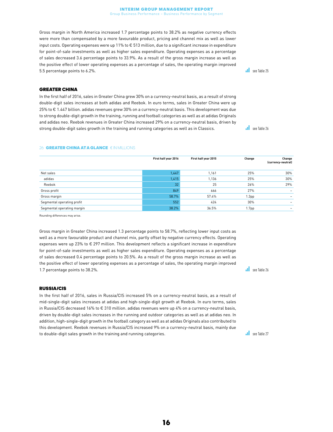Gross margin in North America increased 1.7 percentage points to 38.2% as negative currency effects were more than compensated by a more favourable product, pricing and channel mix as well as lower input costs. Operating expenses were up 11% to € 513 million, due to a significant increase in expenditure for point-of-sale investments as well as higher sales expenditure. Operating expenses as a percentage of sales decreased 3.6 percentage points to 33.9%. As a result of the gross margin increase as well as the positive effect of lower operating expenses as a percentage of sales, the operating margin improved 5.5 percentage points to 6.2%.

#### GREATER CHINA

In the first half of 2016, sales in Greater China grew 30% on a currency-neutral basis, as a result of strong double-digit sales increases at both adidas and Reebok. In euro terms, sales in Greater China were up 25% to € 1.447 billion. adidas revenues grew 30% on a currency-neutral basis. This development was due to strong double-digit growth in the training, running and football categories as well as at adidas Originals and adidas neo. Reebok revenues in Greater China increased 29% on a currency-neutral basis, driven by strong double-digit sales growth in the training and running categories as well as in Classics.

**see Table 25** 

**see Table 26** 

#### 26 **GREATER CHINA AT A GLANCE** € IN MILLIONS

|                            | First half year 2016 | First half year 2015 | Change            | Change<br>(currency-neutral) |
|----------------------------|----------------------|----------------------|-------------------|------------------------------|
| Net sales                  | 1,447                | 1,161                | 25%               | 30%                          |
| adidas                     | 1,415                | 1,136                | 25%               | 30%                          |
| Reebok                     | 32                   | 25                   | 26%               | 29%                          |
| Gross profit               | 849                  | 666                  | 27%               |                              |
| Gross margin               | 58.7%                | 57.4%                | 1.3 <sub>pp</sub> |                              |
| Segmental operating profit | 552                  | 424                  | 30%               |                              |
| Segmental operating margin | 38.2%                | 36.5%                | 1.7 <sub>pp</sub> |                              |

Rounding differences may arise.

Gross margin in Greater China increased 1.3 percentage points to 58.7%, reflecting lower input costs as well as a more favourable product and channel mix, partly offset by negative currency effects. Operating expenses were up 23% to € 297 million. This development reflects a significant increase in expenditure for point-of-sale investments as well as higher sales expenditure. Operating expenses as a percentage of sales decreased 0.4 percentage points to 20.5%. As a result of the gross margin increase as well as the positive effect of lower operating expenses as a percentage of sales, the operating margin improved 1.7 percentage points to 38.2%.

#### RUSSIA/CIS

In the first half of 2016, sales in Russia/CIS increased 5% on a currency-neutral basis, as a result of mid-single-digit sales increases at adidas and high-single-digit growth at Reebok. In euro terms, sales in Russia/CIS decreased 16% to € 310 million. adidas revenues were up 4% on a currency-neutral basis, driven by double-digit sales increases in the running and outdoor categories as well as at adidas neo. In addition, high-single-digit growth in the football category as well as at adidas Originals also contributed to this development. Reebok revenues in Russia/CIS increased 9% on a currency-neutral basis, mainly due to double-digit sales growth in the training and running categories.

**see Table 26** 

see Table 27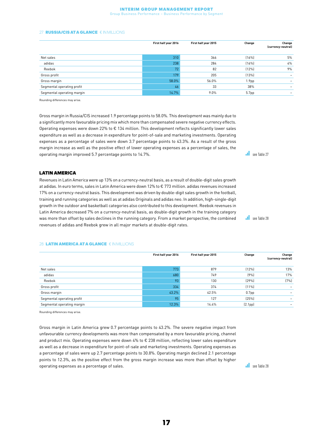#### Interim Group Management Report

Group Business Performance – Business Performance by Segment

#### 27 **RUSSIA/CIS AT A GLANCE** € IN MILLIONS

| First half year 2016 | First half year 2015 | Change            | Change<br>(currency-neutral) |
|----------------------|----------------------|-------------------|------------------------------|
| 310                  | 366                  | (16%)             | 5%                           |
| 238                  | 284                  | (16%)             | 4%                           |
| 72                   | 82                   | (12%)             | 9%                           |
| 179                  | 205                  | (13%)             |                              |
| 58.0%                | 56.0%                | 1.9 <sub>pp</sub> |                              |
| 46                   | 33                   | 38%               |                              |
| 14.7%                | 9.0%                 | 5.7pp             |                              |
|                      |                      |                   |                              |

Rounding differences may arise.

Gross margin in Russia/CIS increased 1.9 percentage points to 58.0%. This development was mainly due to a significantly more favourable pricing mix which more than compensated severe negative currency effects. Operating expenses were down 22% to € 134 million. This development reflects significantly lower sales expenditure as well as a decrease in expenditure for point-of-sale and marketing investments. Operating expenses as a percentage of sales were down 3.7 percentage points to 43.3%. As a result of the gross margin increase as well as the positive effect of lower operating expenses as a percentage of sales, the operating margin improved 5.7 percentage points to 14.7%.

#### LATIN AMERICA

Revenues in Latin America were up 13% on a currency-neutral basis, as a result of double-digit sales growth at adidas. In euro terms, sales in Latin America were down 12% to € 773 million. adidas revenues increased 17% on a currency-neutral basis. This development was driven by double-digit sales growth in the football, training and running categories as well as at adidas Originals and adidas neo. In addition, high-single-digit growth in the outdoor and basketball categories also contributed to this development. Reebok revenues in Latin America decreased 7% on a currency-neutral basis, as double-digit growth in the training category was more than offset by sales declines in the running category. From a market perspective, the combined revenues of adidas and Reebok grew in all major markets at double-digit rates.

#### 28 LATIN AMERICA AT A GLANCE € IN MILLIONS

|                            | First half year 2016 | First half year 2015 | Change               | Change<br>(currency-neutral) |
|----------------------------|----------------------|----------------------|----------------------|------------------------------|
| Net sales                  | 773                  | 879                  | (12%)                | 13%                          |
| adidas                     | 680                  | 749                  | (9%                  | 17%                          |
| Reebok                     | 93                   | 130                  | (29%)                | (7%)                         |
| Gross profit               | 334                  | 374                  | (11%)                |                              |
| Gross margin               | 43.2%                | 42.5%                | 0.7 <sub>pp</sub>    |                              |
| Segmental operating profit | 95                   | 127                  | (25%)                |                              |
| Segmental operating margin | 12.3%                | 14.4%                | (2.1 <sub>pp</sub> ) |                              |

Rounding differences may arise.

Gross margin in Latin America grew 0.7 percentage points to 43.2%. The severe negative impact from unfavourable currency developments was more than compensated by a more favourable pricing, channel and product mix. Operating expenses were down 4% to € 238 million, reflecting lower sales expenditure as well as a decrease in expenditure for point-of-sale and marketing investments. Operating expenses as a percentage of sales were up 2.7 percentage points to 30.8%. Operating margin declined 2.1 percentage points to 12.3%, as the positive effect from the gross margin increase was more than offset by higher operating expenses as a percentage of sales.

**see Table 27** 

see Table 28

see Table 28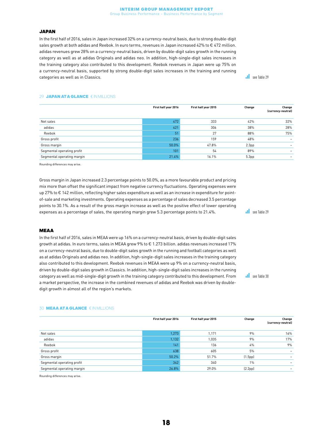#### Interim Group Management Report

Group Business Performance – Business Performance by Segment

#### JAPAN

In the first half of 2016, sales in Japan increased 32% on a currency-neutral basis, due to strong double-digit sales growth at both adidas and Reebok. In euro terms, revenues in Japan increased 42% to € 472 million. adidas revenues grew 28% on a currency-neutral basis, driven by double-digit sales growth in the running category as well as at adidas Originals and adidas neo. In addition, high-single-digit sales increases in the training category also contributed to this development. Reebok revenues in Japan were up 75% on a currency-neutral basis, supported by strong double-digit sales increases in the training and running categories as well as in Classics.

**see Table 29** 

#### 29 **JAPAN ATA GLANCE** € IN MILLIONS

|                            | First half year 2016 | First half year 2015 | Change            | Change<br>(currency-neutral) |
|----------------------------|----------------------|----------------------|-------------------|------------------------------|
| Net sales                  | 472                  | 333                  | 42%               | 32%                          |
| adidas                     | 421                  | 306                  | 38%               | 28%                          |
| Reebok                     | 51                   | 27                   | 88%               | 75%                          |
| Gross profit               | 236                  | 159                  | 48%               |                              |
| Gross margin               | 50.0%                | 47.8%                | 2.3 <sub>pp</sub> |                              |
| Segmental operating profit | 101                  | 54                   | 89%               |                              |
| Segmental operating margin | 21.4%                | 16.1%                | 5.3 <sub>pp</sub> |                              |

Rounding differences may arise.

Gross margin in Japan increased 2.3 percentage points to 50.0%, as a more favourable product and pricing mix more than offset the significant impact from negative currency fluctuations. Operating expenses were up 27% to € 142 million, reflecting higher sales expenditure as well as an increase in expenditure for pointof-sale and marketing investments. Operating expenses as a percentage of sales decreased 3.5 percentage points to 30.1%. As a result of the gross margin increase as well as the positive effect of lower operating expenses as a percentage of sales, the operating margin grew 5.3 percentage points to 21.4%.

**see Table 29** 

see Table 30

#### MEAA

In the first half of 2016, sales in MEAA were up 16% on a currency-neutral basis, driven by double-digit sales growth at adidas. In euro terms, sales in MEAA grew 9% to € 1.273 billion. adidas revenues increased 17% on a currency-neutral basis, due to double-digit sales growth in the running and football categories as well as at adidas Originals and adidas neo. In addition, high-single-digit sales increases in the training category also contributed to this development. Reebok revenues in MEAA were up 9% on a currency-neutral basis, driven by double-digit sales growth in Classics. In addition, high-single-digit sales increases in the running category as well as mid-single-digit growth in the training category contributed to this development. From a market perspective, the increase in the combined revenues of adidas and Reebok was driven by doubledigit growth in almost all of the region's markets.

#### 30 MEAA ATA GLANCE € IN MILLIONS

|                            | First half year 2016 | First half year 2015 | Change  | Change<br>(currency-neutral) |
|----------------------------|----------------------|----------------------|---------|------------------------------|
| Net sales                  | 1,273                | 1,171                | 9%      | 16%                          |
| adidas                     | 1,132                | 1,035                | 9%      | 17%                          |
| Reebok                     | 141                  | 136                  | 4%      | 9%                           |
| Gross profit               | 638                  | 605                  | 5%      | $\overline{\phantom{0}}$     |
| Gross margin               | 50.2%                | 51.7%                | (1.5pp) |                              |
| Segmental operating profit | 342                  | 340                  | 1%      |                              |
| Segmental operating margin | 26.8%                | 29.0%                | (2.2pp) |                              |

Rounding differences may arise.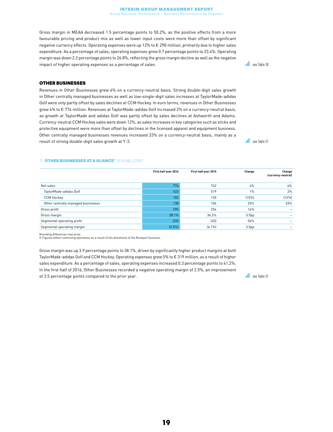Gross margin in MEAA decreased 1.5 percentage points to 50.2%, as the positive effects from a more favourable pricing and product mix as well as lower input costs were more than offset by significant negative currency effects. Operating expenses were up 12% to € 298 million, primarily due to higher sales expenditure. As a percentage of sales, operating expenses grew 0.7 percentage points to 23.4%. Operating margin was down 2.2 percentage points to 26.8%, reflecting the gross margin decline as well as the negative impact of higher operating expenses as a percentage of sales.

#### OTHER BUSINESSES

Revenues in Other Businesses grew 6% on a currency-neutral basis. Strong double-digit sales growth in Other centrally managed businesses as well as low-single-digit sales increases at TaylorMade-adidas Golf were only partly offset by sales declines at CCM Hockey. In euro terms, revenues in Other Businesses grew 4% to € 774 million. Revenues at TaylorMade-adidas Golf increased 2% on a currency-neutral basis, as growth at TaylorMade and adidas Golf was partly offset by sales declines at Ashworth and Adams. Currency-neutral CCM Hockey sales were down 12%, as sales increases in key categories such as sticks and protective equipment were more than offset by declines in the licensed apparel and equipment business. Other centrally managed businesses revenues increased 33% on a currency-neutral basis, mainly as a result of strong double-digit sales growth at Y-3.

#### **31 OTHER BUSINESSES AT A GLANCE<sup>1</sup> € IN MILLIONS**

|                                    | First half year 2016 | First half year 2015 | Change            | Change<br>(currency-neutral) |
|------------------------------------|----------------------|----------------------|-------------------|------------------------------|
| Net sales                          | 774                  | 742                  | 4%                | 6%                           |
| TaylorMade-adidas Golf             | 523                  | 519                  | 1%                | 2%                           |
| <b>CCM Hockey</b>                  | 102                  | 120                  | (15%)             | (12%)                        |
| Other centrally managed businesses | 138                  | 104                  | 33%               | 33%                          |
| Gross profit                       | 295                  | 254                  | 16%               |                              |
| Gross margin                       | 38.1%                | 34.2%                | 3.9 <sub>pp</sub> |                              |
| Segmental operating profit         | (20)                 | (45)                 | 56%               |                              |
| Segmental operating margin         | $(2.5\%)$            | $(6.1\%)$            | 3.5 <sub>pp</sub> |                              |

Rounding differences may arise. 1 Figures reflect continuing operations as a result of the divestiture of the Rockport business.

Gross margin was up 3.9 percentage points to 38.1%, driven by significantly higher product margins at both TaylorMade-adidas Golf and CCM Hockey. Operating expenses grew 5% to € 319 million, as a result of higher sales expenditure. As a percentage of sales, operating expenses increased 0.3 percentage points to 41.2%. In the first half of 2016, Other Businesses recorded a negative operating margin of 2.5%, an improvement of 3.5 percentage points compared to the prior year.

 $\overline{\phantom{a}}$ see Table 31

see Table 30

**see Table 31**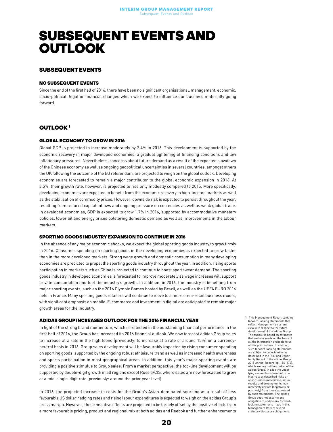### <span id="page-19-0"></span>SUBSEQUENT EVENTS AND **OUTLOOK**

#### SUBSEQUENT EVENTS

#### NO SURSEQUENT EVENTS

Since the end of the first half of 2016, there have been no significant organisational, management, economic, socio-political, legal or financial changes which we expect to influence our business materially going forward.

#### OUTLOOK 1

#### GLOBAL ECONOMY TO GROW IN 2016

Global GDP is projected to increase moderately by 2.4% in 2016. This development is supported by the economic recovery in major developed economies, a gradual tightening of financing conditions and low inflationary pressures. Nevertheless, concerns about future demand as a result of the expected slowdown of the Chinese economy as well as ongoing geopolitical uncertainties in several countries, amongst others the UK following the outcome of the EU referendum, are projected to weigh on the global outlook. Developing economies are forecasted to remain a major contributor to the global economic expansion in 2016. At 3.5%, their growth rate, however, is projected to rise only modestly compared to 2015. More specifically, developing economies are expected to benefit from the economic recovery in high-income markets as well as the stabilisation of commodity prices. However, downside risk is expected to persist throughout the year, resulting from reduced capital inflows and ongoing pressure on currencies as well as weak global trade. In developed economies, GDP is expected to grow 1.7% in 2016, supported by accommodative monetary policies, lower oil and energy prices bolstering domestic demand as well as improvements in the labour markets.

#### SPORTING GOODS INDUSTRY EXPANSION TO CONTINUE IN 2016

In the absence of any major economic shocks, we expect the global sporting goods industry to grow firmly in 2016. Consumer spending on sporting goods in the developing economies is expected to grow faster than in the more developed markets. Strong wage growth and domestic consumption in many developing economies are predicted to propel the sporting goods industry throughout the year. In addition, rising sports participation in markets such as China is projected to continue to boost sportswear demand. The sporting goods industry in developed economies is forecasted to improve moderately as wage increases will support private consumption and fuel the industry's growth. In addition, in 2016, the industry is benefiting from major sporting events, such as the 2016 Olympic Games hosted by Brazil, as well as the UEFA EURO 2016 held in France. Many sporting goods retailers will continue to move to a more omni-retail business model, with significant emphasis on mobile. E-commerce and investment in digital are anticipated to remain major growth areas for the industry.

#### ADIDAS GROUP INCREASES OUTLOOK FOR THE 2016 FINANCIAL YEAR

In light of the strong brand momentum, which is reflected in the outstanding financial performance in the first half of 2016, the Group has increased its 2016 financial outlook. We now forecast adidas Group sales to increase at a rate in the high teens (previously: to increase at a rate of around 15%) on a currencyneutral basis in 2016. Group sales development will be favourably impacted by rising consumer spending on sporting goods, supported by the ongoing robust athleisure trend as well as increased health awareness and sports participation in most geographical areas. In addition, this year's major sporting events are providing a positive stimulus to Group sales. From a market perspective, the top-line development will be supported by double-digit growth in all regions except Russia/CIS, where sales are now forecasted to grow at a mid-single-digit rate (previously: around the prior year level).

In 2016, the projected increase in costs for the Group's Asian-dominated sourcing as a result of less favourable US dollar hedging rates and rising labour expenditures is expected to weigh on the adidas Group's gross margin. However, these negative effects are projected to be largely offset by the positive effects from a more favourable pricing, product and regional mix at both adidas and Reebok and further enhancements

1 This Management Report contains forward-looking statements that reflect Management's current view with respect to the future development of the adidas Group. The outlook is based on estimates that we have made on the basis of all the information available to us at this point in time. In addition, such forward-looking statements are subject to uncertainties as described in the Risk and Opportunity Report of the adidas Group 2015 Annual Report (pp. 156–174), which are beyond the control of the adidas Group. In case the underlying assumptions turn out to be incorrect or described risks or opportunities materialise, actual results and developments may materially deviate (negatively or positively) from those expressed by such statements. The adidas Group does not assume any obligation to update any forwardlooking statements made in this Management Report beyond statutory disclosure obligations.

20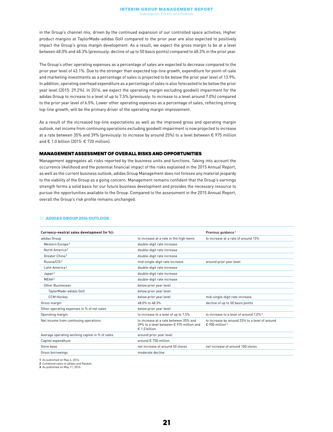in the Group's channel mix, driven by the continued expansion of our controlled space activities. Higher product margins at TaylorMade-adidas Golf compared to the prior year are also expected to positively impact the Group's gross margin development. As a result, we expect the gross margin to be at a level between 48.0% and 48.3% (previously: decline of up to 50 basis points) compared to 48.3% in the prior year.

The Group's other operating expenses as a percentage of sales are expected to decrease compared to the prior year level of 43.1%. Due to the stronger than expected top-line growth, expenditure for point-of-sale and marketing investments as a percentage of sales is projected to be below the prior year level of 13.9%. In addition, operating overhead expenditure as a percentage of sales is also forecasted to be below the prior year level (2015: 29.2%). In 2016, we expect the operating margin excluding goodwill impairment for the adidas Group to increase to a level of up to 7.5% (previously: to increase to a level around 7.0%) compared to the prior year level of 6.5%. Lower other operating expenses as a percentage of sales, reflecting strong top-line growth, will be the primary driver of the operating margin improvement.

As a result of the increased top-line expectations as well as the improved gross and operating margin outlook, net income from continuing operations excluding goodwill impairment is now projected to increase at a rate between 35% and 39% (previously: to increase by around 25%) to a level between € 975 million and € 1.0 billion (2015: € 720 million).

#### MANAGEMENT ASSESSMENT OF OVERALL RISKS AND OPPORTUNITIES

Management aggregates all risks reported by the business units and functions. Taking into account the occurrence likelihood and the potential financial impact of the risks explained in the 2015 Annual Report, as well as the current business outlook, adidas Group Management does not foresee any material jeopardy to the viability of the Group as a going concern. Management remains confident that the Group's earnings strength forms a solid basis for our future business development and provides the necessary resource to pursue the opportunities available to the Group. Compared to the assessment in the 2015 Annual Report, overall the Group's risk profile remains unchanged.

#### 32 ADIDAS GROUP 2016 OUTLOOK

| Currency-neutral sales development (in %):      |                                                                                                    | Previous guidance <sup>1</sup>                                                 |
|-------------------------------------------------|----------------------------------------------------------------------------------------------------|--------------------------------------------------------------------------------|
| adidas Group                                    | to increase at a rate in the high teens                                                            | to increase at a rate of around 15%                                            |
| Western Europe <sup>2</sup>                     | double-digit rate increase                                                                         |                                                                                |
| North America <sup>2</sup>                      | double-digit rate increase                                                                         |                                                                                |
| Greater China <sup>2</sup>                      | double-digit rate increase                                                                         |                                                                                |
| Russia/CIS <sup>2</sup>                         | mid-single-digit rate increase                                                                     | around prior year level                                                        |
| Latin America <sup>2</sup>                      | double-digit rate increase                                                                         |                                                                                |
| Japan <sup>2</sup>                              | double-digit rate increase                                                                         |                                                                                |
| MEAA <sup>2</sup>                               | double-digit rate increase                                                                         |                                                                                |
| Other Businesses                                | below prior year level                                                                             |                                                                                |
| TaylorMade-adidas Golf                          | below prior year level                                                                             |                                                                                |
| <b>CCM Hockey</b>                               | below prior year level                                                                             | mid-single-digit rate increase                                                 |
| Gross margin                                    | 48.0% to 48.3%                                                                                     | decline of up to 50 basis points                                               |
| Other operating expenses in % of net sales      | below prior year level                                                                             |                                                                                |
| Operating margin                                | to increase to a level of up to 7.5%                                                               | to increase to a level of around 7.0% <sup>3</sup>                             |
| Net income from continuing operations           | to increase at a rate between 35% and<br>39% to a level between € 975 million and<br>€ 1.0 billion | to increase by around 25% to a level of around<br>$£$ 900 million <sup>3</sup> |
| Average operating working capital in % of sales | around prior year level                                                                            |                                                                                |
| Capital expenditure                             | around € 750 million                                                                               |                                                                                |
| Store base                                      | net increase of around 50 stores                                                                   | net increase of around 100 stores                                              |
| Gross borrowings                                | moderate decline                                                                                   |                                                                                |
|                                                 |                                                                                                    |                                                                                |

1 As published on May 4, 2016.

2 Combined sales of adidas and Reebok.

3 As published on May 11, 2016.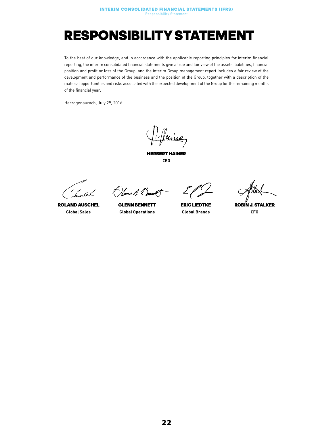### <span id="page-21-0"></span>RESPONSIBILITY STATEMENT

To the best of our knowledge, and in accordance with the applicable reporting principles for interim financial reporting, the interim consolidated financial statements give a true and fair view of the assets, liabilities, financial position and profit or loss of the Group, and the interim Group management report includes a fair review of the development and performance of the business and the position of the Group, together with a description of the material opportunities and risks associated with the expected development of the Group for the remaining months of the financial year.

Herzogenaurach, July 29, 2016

<u>luice,</u>

HERBERT HAINER CEO

Suntel

ROLAND AUSCHEL Global Sales

 $\bigcirc$ lmm $\beta$ .  $\bigcirc$ 

GLENN BENNETT Global Operations

ERIC LIEDTKE Global Brands

ROBIN J. STALKER CFO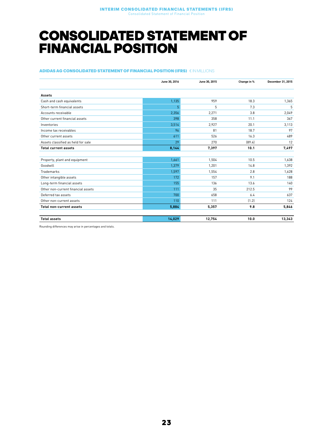### <span id="page-22-0"></span>CONSOLIDATED STATEMENT OF FINANCIAL POSITION

#### ADIDAS AG CONSOLIDATED STATEMENT OF FINANCIAL POSITION (IFRS) € IN MILLIONS

|                                    | June 30, 2016 | June 30, 2015 | Change in % | December 31, 2015 |
|------------------------------------|---------------|---------------|-------------|-------------------|
| <b>Assets</b>                      |               |               |             |                   |
| Cash and cash equivalents          | 1,135         | 959           | 18.3        | 1,365             |
| Short-term financial assets        | 5             | 5             | 7.3         | 5                 |
| Accounts receivable                | 2,356         | 2,271         | 3.8         | 2,049             |
| Other current financial assets     | 398           | 358           | 11.1        | 367               |
| Inventories                        | 3,514         | 2,927         | 20.1        | 3,113             |
| Income tax receivables             | 96            | 81            | 18.7        | 97                |
| Other current assets               | 611           | 526           | 16.3        | 489               |
| Assets classified as held for sale | 29            | 270           | [89.4]      | 12                |
| <b>Total current assets</b>        | 8,144         | 7,397         | 10.1        | 7,497             |
|                                    |               |               |             |                   |
| Property, plant and equipment      | 1,661         | 1,504         | 10.5        | 1,638             |
| Goodwill                           | 1,379         | 1,201         | 14.8        | 1,392             |
| Trademarks                         | 1,597         | 1,554         | 2.8         | 1,628             |
| Other intangible assets            | 172           | 157           | 9.1         | 188               |
| Long-term financial assets         | 155           | 136           | 13.6        | 140               |
| Other non-current financial assets | 111           | 35            | 212.5       | 99                |
| Deferred tax assets                | 700           | 658           | 6.4         | 637               |
| Other non-current assets           | 110           | 111           | (1.2)       | 124               |
| <b>Total non-current assets</b>    | 5,884         | 5,357         | 9.8         | 5,846             |
| <b>Total assets</b>                | 14,029        | 12,754        | 10.0        | 13,343            |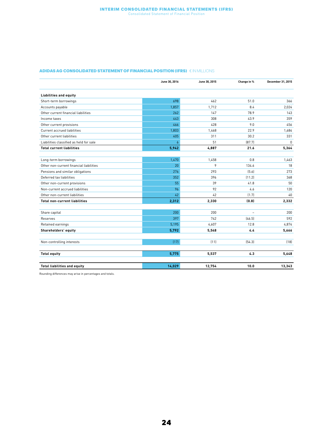#### Interim Consolidated Financial Statements (IFRS) Consolidated Statement of Financial Position

#### ADIDAS AG CONSOLIDATED STATEMENT OF FINANCIAL POSITION (IFRS)  $\in$  IN MILLIONS

|                                         | June 30, 2016  | June 30, 2015 | Change in %    | December 31, 2015 |
|-----------------------------------------|----------------|---------------|----------------|-------------------|
| <b>Liabilities and equity</b>           |                |               |                |                   |
| Short-term borrowings                   | 698            | 462           | 51.0           | 366               |
| Accounts payable                        | 1,857          | 1.712         | 8.4            | 2,024             |
| Other current financial liabilities     | 262            | 147           | 78.9           | 143               |
| Income taxes                            | 443            | 308           | 43.9           | 359               |
| Other current provisions                | 466            | 428           | 9.0            | 456               |
| Current accrued liabilities             | 1,803          | 1,468         | 22.9           | 1,684             |
| Other current liabilities               | 405            | 311           | 30.2           | 331               |
| Liabilities classified as held for sale | $\overline{6}$ | 51            | [87.7]         | $\Omega$          |
| <b>Total current liabilities</b>        | 5,942          | 4,887         | 21.6           | 5,364             |
|                                         |                |               |                |                   |
| Long-term borrowings                    | 1,470          | 1,458         | 0.8            | 1,463             |
| Other non-current financial liabilities | 20             | 9             | 134.6          | 18                |
| Pensions and similar obligations        | 276            | 293           | (5.6)          | 273               |
| Deferred tax liabilities                | 352            | 396           | (11.2)         | 368               |
| Other non-current provisions            | 55             | 39            | 41.8           | 50                |
| Non-current accrued liabilities         | 96             | 92            | 4.6            | 120               |
| Other non-current liabilities           | 42             | 42            | (1.7)          | 40                |
| <b>Total non-current liabilities</b>    | 2,312          | 2,330         | (0.8)          | 2,332             |
|                                         |                |               |                |                   |
| Share capital                           | 200            | 200           | $\overline{a}$ | 200               |
| Reserves                                | 397            | 742           | [46.5]         | 592               |
| Retained earnings                       | 5,195          | 4,607         | 12.8           | 4,874             |
| Shareholders' equity                    | 5,792          | 5,548         | 4.4            | 5,666             |
|                                         |                |               |                |                   |
| Non-controlling interests               | (17)           | (11)          | [54.3]         | (18)              |
| <b>Total equity</b>                     | 5,775          | 5,537         | 4.3            | 5,648             |
| <b>Total liabilities and equity</b>     | 14,029         | 12,754        | 10.0           | 13,343            |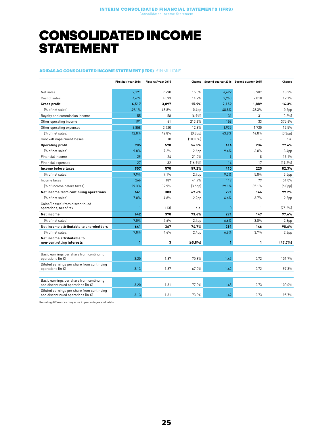### <span id="page-24-0"></span>CONSOLIDATED INCOME **STATEMENT**

#### ADIDAS AG CONSOLIDATED INCOME STATEMENT (IFRS) € IN MILLIONS

|                                                                                            | First half year 2016 | First half year 2015 |                      | Change Second quarter 2016 Second quarter 2015 |       | Change               |
|--------------------------------------------------------------------------------------------|----------------------|----------------------|----------------------|------------------------------------------------|-------|----------------------|
| Net sales                                                                                  | 9,191                | 7.990                | 15.0%                | 4,422                                          | 3.907 | 13.2%                |
| Cost of sales                                                                              | 4,674                | 4,093                | 14.2%                | 2,263                                          | 2,018 | 12.1%                |
| Gross profit                                                                               | 4,517                | 3,897                | 15.9%                | 2.159                                          | 1.889 | 14.3%                |
| (% of net sales)                                                                           | 49.1%                | 48.8%                | 0.4 <sub>pp</sub>    | 48.8%                                          | 48.3% | 0.5 <sub>pp</sub>    |
| Royalty and commission income                                                              | 55                   | 58                   | [4.9%]               | 31                                             | 31    | (0.2%                |
| Other operating income                                                                     | 191                  | 61                   | 213.6%               | 159                                            | 33    | 375.4%               |
| Other operating expenses                                                                   | 3,858                | 3.420                | 12.8%                | 1,935                                          | 1.720 | 12.5%                |
| (% of net sales)                                                                           | 42.0%                | 42.8%                | (0.8 <sub>pp</sub> ) | 43.8%                                          | 44.0% | (0.3 <sub>pp</sub> ) |
| Goodwill impairment losses                                                                 |                      | 18                   | $(100.0\%)$          |                                                |       | n.a.                 |
| <b>Operating profit</b>                                                                    | 905                  | 578                  | 56.5%                | 414                                            | 234   | 77.4%                |
| [% of net sales]                                                                           | 9.8%                 | 7.2%                 | 2.6 <sub>pp</sub>    | 9.4%                                           | 6.0%  | 3.4 <sub>pp</sub>    |
| Financial income                                                                           | 29                   | 24                   | 21.0%                | 9                                              | 8     | 13.1%                |
| Financial expenses                                                                         | 27                   | 32                   | [16.9%]              | 14                                             | 17    | [19.2%]              |
| Income before taxes                                                                        | 907                  | 570                  | 59.2%                | 410                                            | 225   | 82.3%                |
| [% of net sales]                                                                           | 9.9%                 | 7.1%                 | 2.7 <sub>pp</sub>    | 9.3%                                           | 5.8%  | 3.5 <sub>pp</sub>    |
| Income taxes                                                                               | 266                  | 187                  | 41.9%                | 119                                            | 79    | 51.0%                |
| (% of income before taxes)                                                                 | 29.3%                | 32.9%                | (3.6 <sub>pp</sub> ) | 29.1%                                          | 35.1% | (6.0 <sub>pp</sub> ) |
| Net income from continuing operations                                                      | 641                  | 383                  | 67.6%                | 291                                            | 146   | 99.2%                |
| [% of net sales]                                                                           | 7.0%                 | 4.8%                 | 2.2 <sub>pp</sub>    | 6.6%                                           | 3.7%  | 2.8 <sub>pp</sub>    |
| Gains/(losses) from discontinued<br>operations, net of tax                                 |                      | (13)                 | n.a.                 | $\overline{0}$                                 | 1     | [75.2%]              |
| Net income                                                                                 | 642                  | 370                  | 73.6%                | 291                                            | 147   | 97.6%                |
| [% of net sales]                                                                           | 7.0%                 | 4.6%                 | 2.4 <sub>pp</sub>    | 6.6%                                           | 3.8%  | 2.8 <sub>pp</sub>    |
| Net income attributable to shareholders                                                    | 641                  | 367                  | 74.7%                | 291                                            | 146   | 98.6%                |
| (% of net sales)                                                                           | 7.0%                 | 4.6%                 | 2.4 <sub>pp</sub>    | 6.6%                                           | 3.7%  | 2.8 <sub>pp</sub>    |
| Net income attributable to<br>non-controlling interests                                    | 1                    | 3                    | (65.8%)              | $\mathbf{1}$                                   | 1     | (47.7%               |
| Basic earnings per share from continuing<br>operations (in $\epsilon$ )                    | 3.20                 | 1.87                 | 70.8%                | 1.45                                           | 0.72  | 101.7%               |
| Diluted earnings per share from continuing<br>operations (in €)                            | 3.13                 | 1.87                 | 67.0%                | 1.42                                           | 0.72  | 97.3%                |
| Basic earnings per share from continuing<br>and discontinued operations (in €)             | 3.20                 | 1.81                 | 77.0%                | 1.45                                           | 0.73  | 100.0%               |
| Diluted earnings per share from continuing<br>and discontinued operations (in $\epsilon$ ) | 3.13                 | 1.81                 | 73.0%                | 1.42                                           | 0.73  | 95.7%                |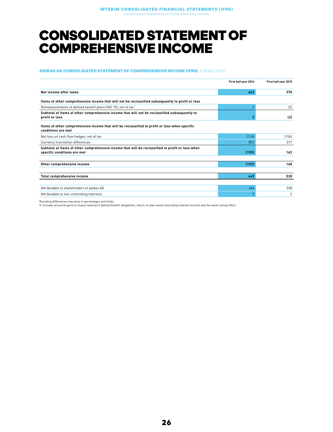### <span id="page-25-0"></span>CONSOLIDATED STATEMENT OF COMPREHENSIVE INCOME

#### ADIDAS AG CONSOLIDATED STATEMENT OF COMPREHENSIVE INCOME (IFRS) € IN MILLIONS

|                                                                                                                                 | First half year 2016     | First half year 2015 |
|---------------------------------------------------------------------------------------------------------------------------------|--------------------------|----------------------|
| Net income after taxes                                                                                                          | 642                      | 370                  |
| Items of other comprehensive income that will not be reclassified subsequently to profit or loss                                |                          |                      |
| Remeasurements of defined benefit plans (IAS 19), net of tax <sup>1</sup>                                                       | 2                        | (2)                  |
| Subtotal of items of other comprehensive income that will not be reclassified subsequently to<br>profit or loss                 | $\overline{2}$           | (2)                  |
| Items of other comprehensive income that will be reclassified to profit or loss when specific<br>conditions are met             |                          |                      |
| Net loss on cash flow hedges, net of tax                                                                                        | (114)                    | (154)                |
| Currency translation differences                                                                                                | [81]                     | 317                  |
| Subtotal of items of other comprehensive income that will be reclassified to profit or loss when<br>specific conditions are met | (195)                    | 162                  |
|                                                                                                                                 |                          |                      |
| Other comprehensive income                                                                                                      | (193)                    | 160                  |
|                                                                                                                                 |                          |                      |
| Total comprehensive income                                                                                                      | 449                      | 530                  |
|                                                                                                                                 |                          |                      |
| Attributable to shareholders of adidas AG                                                                                       | 446                      | 528                  |
| Attributable to non-controlling interests                                                                                       | $\overline{\phantom{a}}$ | 2                    |

Rounding differences may arise in percentages and totals.

1 Includes actuarial gains or losses relating to defined benefit obligations, return on plan assets (excluding interest income) and the asset ceiling effect.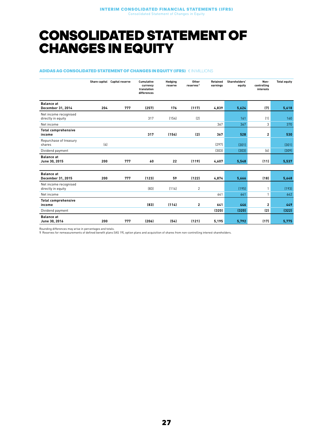### <span id="page-26-0"></span>CONSOLIDATED STATEMENT OF CHANGES IN EQUITY

#### ADIDAS AG CONSOLIDATED STATEMENT OF CHANGES IN EQUITY (IFRS) € IN MILLIONS

|                                             |     | Share capital Capital reserve | <b>Cumulative</b><br>currency<br>translation<br>differences | Hedging<br>reserve | Other<br>reserves <sup>1</sup> | <b>Retained</b><br>earnings | Shareholders'<br>equity | Non-<br>controlling<br>interests | <b>Total equity</b> |
|---------------------------------------------|-----|-------------------------------|-------------------------------------------------------------|--------------------|--------------------------------|-----------------------------|-------------------------|----------------------------------|---------------------|
| <b>Balance</b> at<br>December 31, 2014      | 204 | 777                           | (257)                                                       | 176                | (117)                          | 4,839                       | 5,624                   | (7)                              | 5,618               |
| Net income recognised<br>directly in equity |     |                               | 317                                                         | (154)              | (2)                            |                             | 161                     | (1)                              | 160                 |
| Net income                                  |     |                               |                                                             |                    |                                | 367                         | 367                     | 3                                | 370                 |
| <b>Total comprehensive</b><br>income        |     |                               | 317                                                         | (154)              | (2)                            | 367                         | 528                     | $\overline{\mathbf{c}}$          | 530                 |
| Repurchase of treasury<br>shares            | (4) |                               |                                                             |                    |                                | [297]                       | (301)                   |                                  | (301)               |
| Dividend payment                            |     |                               |                                                             |                    |                                | [303]                       | (303)                   | [6]                              | (309)               |
| <b>Balance</b> at<br>June 30, 2015          | 200 | 777                           | 60                                                          | 22                 | (119)                          | 4,607                       | 5,548                   | (11)                             | 5,537               |
|                                             |     |                               |                                                             |                    |                                |                             |                         |                                  |                     |
| <b>Balance</b> at<br>December 31, 2015      | 200 | 777                           | (123)                                                       | 59                 | (122)                          | 4,874                       | 5,666                   | (18)                             | 5,648               |
| Net income recognised<br>directly in equity |     |                               | [83]                                                        | (114)              | $\overline{2}$                 |                             | (195)                   | 1                                | (193)               |
| Net income                                  |     |                               |                                                             |                    |                                | 641                         | 641                     | $\mathbf{1}$                     | 642                 |
| <b>Total comprehensive</b><br>income        |     |                               | (83)                                                        | (114)              | 2                              | 641                         | 446                     | $\overline{\mathbf{c}}$          | 449                 |
| Dividend payment                            |     |                               |                                                             |                    |                                | (320)                       | (320)                   | (2)                              | (322)               |
| <b>Balance at</b><br>June 30, 2016          | 200 | 777                           | (206)                                                       | (54)               | (121)                          | 5,195                       | 5,792                   | (17)                             | 5,775               |

Rounding differences may arise in percentages and totals.

1 Reserves for remeasurements of defined benefit plans (IAS 19), option plans and acquisition of shares from non-controlling interest shareholders.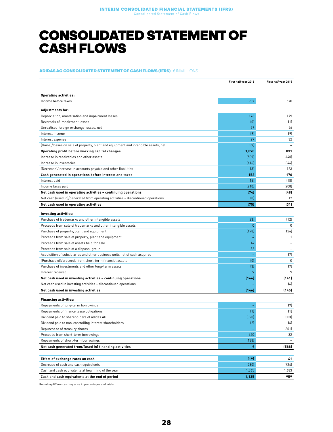### <span id="page-27-0"></span>CONSOLIDATED STATEMENT OF CASH FLOWS

#### ADIDAS AG CONSOLIDATED STATEMENT OF CASH FLOWS (IFRS) € IN MILLIONS

|                                                                                    | First half year 2016 | First half year 2015           |
|------------------------------------------------------------------------------------|----------------------|--------------------------------|
| <b>Operating activities:</b>                                                       |                      |                                |
| Income before taxes                                                                | 907                  | 570                            |
| <b>Adjustments for:</b>                                                            |                      |                                |
| Depreciation, amortisation and impairment losses                                   | 176                  | 179                            |
| Reversals of impairment losses                                                     | [0]                  | (1)                            |
| Unrealised foreign exchange losses, net                                            | 29                   | 56                             |
| Interest income                                                                    | (9)                  | (9)                            |
| Interest expense                                                                   | 27                   | 32                             |
| (Gains)/losses on sale of property, plant and equipment and intangible assets, net | (39)                 | 4                              |
| Operating profit before working capital changes                                    | 1,090                | 831                            |
| Increase in receivables and other assets                                           | (509)                | (440)                          |
| Increase in inventories                                                            | (416)                | (344)                          |
| (Decrease)/increase in accounts payable and other liabilities                      | (13)                 | 123                            |
| Cash generated in operations before interest and taxes                             | 152                  | 170                            |
| Interest paid                                                                      | (16)                 | (18)                           |
| Income taxes paid                                                                  | (210)                | (200)                          |
| Net cash used in operating activities - continuing operations                      | (74)                 | (48)                           |
| Net cash (used in)/generated from operating activities - discontinued operations   | (0)                  | 17                             |
| Net cash used in operating activities                                              | (75)                 | (31)                           |
|                                                                                    |                      |                                |
| Investing activities:                                                              |                      |                                |
| Purchase of trademarks and other intangible assets                                 | [23]<br>$\mathbf{0}$ | (12)                           |
| Proceeds from sale of trademarks and other intangible assets                       |                      | $\Omega$                       |
| Purchase of property, plant and equipment                                          | (178)                | (126)                          |
| Proceeds from sale of property, plant and equipment                                | 4<br>14              | $\mathbf{1}$<br>$\overline{a}$ |
| Proceeds from sale of assets held for sale                                         |                      | $\overline{\phantom{a}}$       |
| Proceeds from sale of a disposal group                                             | 32                   | $[7]$                          |
| Acquisition of subsidiaries and other business units net of cash acquired          | ÷,                   | 0                              |
| (Purchase of)/proceeds from short-term financial assets                            | (0)<br>$[3]$         | (7)                            |
| Purchase of investments and other long-term assets                                 | 9                    | 9                              |
| Interest received                                                                  | (146)                | (141)                          |
| Net cash used in investing activities - continuing operations                      |                      |                                |
| Net cash used in investing activities - discontinued operations                    |                      | (4)                            |
| Net cash used in investing activities                                              | (146)                | (145)                          |
| <b>Financing activities:</b>                                                       |                      |                                |
| Repayments of long-term borrowings                                                 |                      | (9)                            |
| Repayments of finance lease obligations                                            | (1)                  | (1)                            |
| Dividend paid to shareholders of adidas AG                                         | (320)                | (303)                          |
| Dividend paid to non-controlling interest shareholders                             | (2)                  | [6]                            |
| Repurchase of treasury shares                                                      |                      | (301)                          |
| Proceeds from short-term borrowings                                                | 470                  | 32                             |
| Repayments of short-term borrowings                                                | (138)                |                                |
| Net cash generated from/(used in) financing activities                             | 9                    | (588)                          |
|                                                                                    |                      |                                |
| Effect of exchange rates on cash                                                   | (19)                 | 41                             |
| Decrease of cash and cash equivalents                                              | (230)                | (724)                          |
| Cash and cash equivalents at beginning of the year                                 | 1,365                | 1,683                          |
| Cash and cash equivalents at the end of period                                     | 1,135                | 959                            |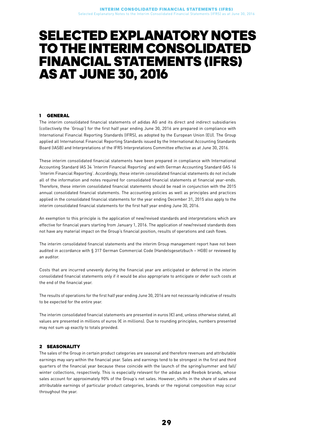### <span id="page-28-0"></span>SELECTED EXPLANATORY NOTES TO THE INTERIM CONSOLIDATED FINANCIAL STATEMENTS (IFRS) ASAT JUNE 30, 2016

#### 1 GENERAL

The interim consolidated financial statements of adidas AG and its direct and indirect subsidiaries (collectively the 'Group') for the first half year ending June 30, 2016 are prepared in compliance with International Financial Reporting Standards (IFRS), as adopted by the European Union (EU). The Group applied all International Financial Reporting Standards issued by the International Accounting Standards Board (IASB) and Interpretations of the IFRS Interpretations Committee effective as at June 30, 2016.

These interim consolidated financial statements have been prepared in compliance with International Accounting Standard IAS 34 'Interim Financial Reporting' and with German Accounting Standard GAS 16 'Interim Financial Reporting'. Accordingly, these interim consolidated financial statements do not include all of the information and notes required for consolidated financial statements at financial year-ends. Therefore, these interim consolidated financial statements should be read in conjunction with the 2015 annual consolidated financial statements. The accounting policies as well as principles and practices applied in the consolidated financial statements for the year ending December 31, 2015 also apply to the interim consolidated financial statements for the first half year ending June 30, 2016.

An exemption to this principle is the application of new/revised standards and interpretations which are effective for financial years starting from January 1, 2016. The application of new/revised standards does not have any material impact on the Group's financial position, results of operations and cash flows.

The interim consolidated financial statements and the interim Group management report have not been audited in accordance with § 317 German Commercial Code (Handelsgesetzbuch – HGB) or reviewed by an auditor.

Costs that are incurred unevenly during the financial year are anticipated or deferred in the interim consolidated financial statements only if it would be also appropriate to anticipate or defer such costs at the end of the financial year.

The results of operations for the first half year ending June 30, 2016 are not necessarily indicative of results to be expected for the entire year.

The interim consolidated financial statements are presented in euros (€) and, unless otherwise stated, all values are presented in millions of euros (€ in millions). Due to rounding principles, numbers presented may not sum up exactly to totals provided.

#### 2 SEASONALITY

The sales of the Group in certain product categories are seasonal and therefore revenues and attributable earnings may vary within the financial year. Sales and earnings tend to be strongest in the first and third quarters of the financial year because these coincide with the launch of the spring/summer and fall/ winter collections, respectively. This is especially relevant for the adidas and Reebok brands, whose sales account for approximately 90% of the Group's net sales. However, shifts in the share of sales and attributable earnings of particular product categories, brands or the regional composition may occur throughout the year.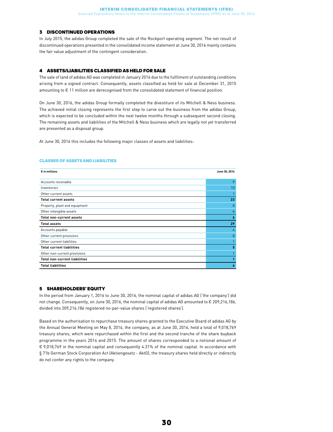#### 3 DISCONTINUED OPERATIONS

In July 2015, the adidas Group completed the sale of the Rockport operating segment. The net result of discontinued operations presented in the consolidated income statement at June 30, 2016 mainly contains the fair value adjustment of the contingent consideration.

#### 4 ASSETS/LIABILITIES CLASSIFIED AS HELD FOR SALE

The sale of land of adidas AG was completed in January 2016 due to the fulfilment of outstanding conditions arising from a signed contract. Consequently, assets classified as held for sale at December 31, 2015 amounting to € 11 million are derecognised from the consolidated statement of financial position.

On June 30, 2016, the adidas Group formally completed the divestiture of its Mitchell & Ness business. The achieved initial closing represents the first step to carve out the business from the adidas Group, which is expected to be concluded within the next twelve months through a subsequent second closing. The remaining assets and liabilities of the Mitchell & Ness business which are legally not yet transferred are presented as a disposal group.

At June 30, 2016 this includes the following major classes of assets and liabilities:

#### CLASSES OF ASSETS AND LIABILITIES

| $\epsilon$ in millions               | June 30, 2016 |
|--------------------------------------|---------------|
| Accounts receivable                  | 9             |
| Inventories                          | 13            |
| Other current assets                 |               |
| <b>Total current assets</b>          | 23            |
| Property, plant and equipment        | $\theta$      |
| Other intangible assets              | 6             |
| <b>Total non-current assets</b>      | 6             |
| <b>Total assets</b>                  | 29            |
| Accounts payable                     | 4             |
| Other current provisions             | $\theta$      |
| Other current liabilities            |               |
| <b>Total current liabilities</b>     | 5             |
| Other non-current provisions         |               |
| <b>Total non-current liabilities</b> |               |
| <b>Total liabilities</b>             | 6             |

#### 5 SHAREHOLDERS' EQUITY

In the period from January 1, 2016 to June 30, 2016, the nominal capital of adidas AG ('the company') did not change. Consequently, on June 30, 2016, the nominal capital of adidas AG amounted to € 209,216,186, divided into 209,216,186 registered no-par-value shares ('registered shares').

Based on the authorisation to repurchase treasury shares granted to the Executive Board of adidas AG by the Annual General Meeting on May 8, 2014, the company, as at June 30, 2016, held a total of 9,018,769 treasury shares, which were repurchased within the first and the second tranche of the share buyback programme in the years 2014 and 2015. The amount of shares corresponded to a notional amount of € 9,018,769 in the nominal capital and consequently 4.31% of the nominal capital. In accordance with § 71b German Stock Corporation Act (Aktiengesetz - AktG), the treasury shares held directly or indirectly do not confer any rights to the company.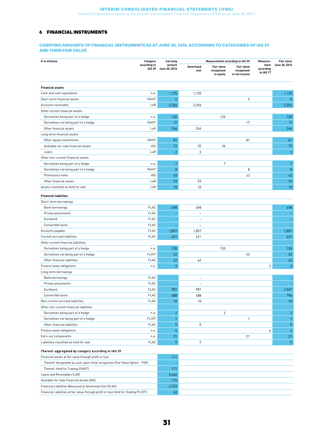#### 6 FINANCIAL INSTRUMENTS

#### CARRYING AMOUNTS OF FINANCIAL INSTRUMENTS AS AT JUNE 30, 2016, ACCORDING TO CATEGORIES OF IAS 39 AND THEIR FAIR VALUE

| $\epsilon$ in millions                                                         | Category                      | Carrying                |                          | <b>Measurement according to IAS 39</b>       |                                           | Measure-                       | <b>Fair value</b>        |
|--------------------------------------------------------------------------------|-------------------------------|-------------------------|--------------------------|----------------------------------------------|-------------------------------------------|--------------------------------|--------------------------|
|                                                                                | according to<br><b>IAS 39</b> | amount<br>June 30, 2016 | Amortised<br>cost        | <b>Fair value</b><br>recognised<br>in equity | Fair value<br>recognised<br>in net income | ment<br>according<br>to IAS 17 | June 30, 2016            |
| <b>Financial assets</b>                                                        |                               |                         |                          |                                              |                                           |                                |                          |
| Cash and cash equivalents                                                      | n.a.                          | 1,135                   | 1,135                    |                                              |                                           |                                | 1,135                    |
| Short-term financial assets                                                    | <b>FAHfT</b>                  | $\overline{5}$          |                          |                                              | 5                                         |                                | 5                        |
| Accounts receivable                                                            | LaR                           | 2,356                   | 2,356                    |                                              |                                           |                                | 2,356                    |
| Other current financial assets                                                 |                               |                         |                          |                                              |                                           |                                |                          |
| Derivatives being part of a hedge                                              | n.a.                          | 135                     |                          | 135                                          |                                           |                                | 135                      |
| Derivatives not being part of a hedge                                          | <b>FAHfT</b>                  | 17                      |                          |                                              | 17                                        |                                | 17                       |
| Other financial assets                                                         | LaR                           | 246                     | 246                      |                                              |                                           |                                | 246                      |
| Long-term financial assets                                                     |                               |                         |                          |                                              |                                           |                                |                          |
| Other equity investments                                                       | <b>FAHfT</b>                  | 81                      |                          |                                              | 81                                        |                                | 81                       |
| Available-for-sale financial assets                                            | AfS                           | 72                      | 35                       | 36                                           |                                           |                                | 72                       |
| Loans                                                                          | LaR                           | $\overline{2}$          | $\overline{2}$           |                                              |                                           |                                | $\overline{2}$           |
| Other non-current financial assets                                             |                               |                         |                          |                                              |                                           |                                |                          |
| Derivatives being part of a hedge                                              | n.a.                          | 7                       |                          | $\sqrt{7}$                                   |                                           |                                | $\overline{7}$           |
| Derivatives not being part of a hedge                                          | FAHfT                         | $\, 8$                  |                          |                                              | 8                                         |                                | $\,8\,$                  |
| Promissory notes                                                               | AfS                           | 43                      |                          |                                              | 43                                        |                                | 43                       |
| Other financial assets                                                         | LaR                           | 53                      | 53                       |                                              |                                           |                                | 53                       |
| Assets classified as held for sale                                             | LaR                           | 10                      | 10                       |                                              |                                           |                                | 10                       |
|                                                                                |                               |                         |                          |                                              |                                           |                                |                          |
| <b>Financial liabilities</b>                                                   |                               |                         |                          |                                              |                                           |                                |                          |
| Short-term borrowings                                                          |                               |                         |                          |                                              |                                           |                                |                          |
| Bank borrowings                                                                | <b>FLAC</b>                   | 698                     | 698                      |                                              |                                           |                                | 698                      |
| Private placements                                                             | <b>FLAC</b>                   | ÷,                      | $\overline{a}$           |                                              |                                           |                                |                          |
| Eurobond                                                                       | <b>FLAC</b>                   | $\equiv$                | $\overline{a}$           |                                              |                                           |                                |                          |
| Convertible bond                                                               | FLAC                          | ц,                      | $\overline{a}$           |                                              |                                           |                                | $\overline{\phantom{a}}$ |
| Accounts payable                                                               | FLAC                          | 1,857                   | 1,857                    |                                              |                                           |                                | 1,857                    |
| Current accrued liabilities                                                    | FLAC                          | 621                     | 621                      |                                              |                                           |                                | 621                      |
| Other current financial liabilities                                            |                               |                         |                          |                                              |                                           |                                |                          |
| Derivatives being part of a hedge                                              | n.a.                          | 155                     |                          | 155                                          |                                           |                                | 155                      |
| Derivatives not being part of a hedge                                          | FLHfT                         | 42                      |                          |                                              | 42                                        |                                | 42                       |
| Other financial liabilities                                                    | FLAC                          | 62<br>3                 | 62                       |                                              |                                           |                                | 62<br>3                  |
| Finance lease obligations                                                      | n.a.                          |                         |                          |                                              |                                           | 3                              |                          |
| Long-term borrowings                                                           | <b>FLAC</b>                   |                         | $\overline{\phantom{m}}$ |                                              |                                           |                                |                          |
| Bank borrowings<br>Private placements                                          | <b>FLAC</b>                   | ÷,                      | $\overline{a}$           |                                              |                                           |                                |                          |
| Eurobond                                                                       | <b>FLAC</b>                   | 981                     | 981                      |                                              |                                           |                                | 1,047                    |
|                                                                                | <b>FLAC</b>                   | 488                     | 488                      |                                              |                                           |                                | 796                      |
| Convertible bond<br>Non-current accrued liabilities                            | FLAC                          | 10                      | 10                       |                                              |                                           |                                | 10                       |
| Other non-current financial liabilities                                        |                               |                         |                          |                                              |                                           |                                |                          |
| Derivatives being part of a hedge                                              |                               | $\overline{2}$          |                          | $\overline{c}$                               |                                           |                                | $\overline{2}$           |
| Derivatives not being part of a hedge                                          | n.a.<br>FLHfT                 | $\mathbf{1}$            |                          |                                              | $\mathbf{1}$                              |                                | $\mathbf{1}$             |
| Other financial liabilities                                                    | FLAC                          | $\pmb{0}$               | 0                        |                                              |                                           |                                | $\pmb{0}$                |
| Finance lease obligations                                                      | n.a.                          | $\boldsymbol{6}$        |                          |                                              |                                           | 6                              | $\boldsymbol{6}$         |
|                                                                                |                               |                         |                          |                                              |                                           |                                | 21                       |
| Earn-out components<br>Liabilities classified as held for sale                 | n.a.<br><b>FLAC</b>           | 21<br>$\overline{5}$    | 5                        |                                              | 21                                        |                                | $\overline{5}$           |
|                                                                                |                               |                         |                          |                                              |                                           |                                |                          |
| Thereof: aggregated by category according to IAS 39                            |                               |                         |                          |                                              |                                           |                                |                          |
| Financial assets at fair value through profit or loss                          |                               | 111                     |                          |                                              |                                           |                                |                          |
| Thereof: designated as such upon initial recognition (Fair Value Option - FVO) |                               | ÷                       |                          |                                              |                                           |                                |                          |
| Thereof: Held for Trading (FAHfT)                                              |                               | 111                     |                          |                                              |                                           |                                |                          |
| Loans and Receivables (LaR)                                                    |                               | 2,666                   |                          |                                              |                                           |                                |                          |
| Available-for-Sale Financial Assets (AfS)                                      |                               | 115                     |                          |                                              |                                           |                                |                          |
| Financial Liabilities Measured at Amortised Cost (FLAC)                        |                               | 4,723                   |                          |                                              |                                           |                                |                          |

Financial Liabilities at fair value through profit or loss Held for Trading (FLHfT) 43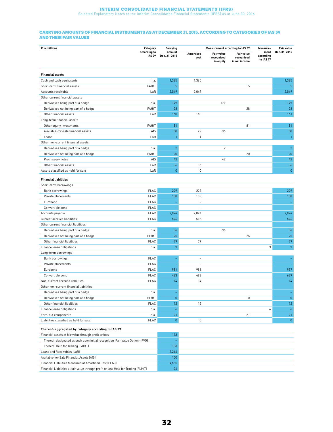#### **INTERIM CONSOLIDATED FINANCIAL STATEMENTS (IFRS)**<br>Selected Explanatory Notes to the Interim Consolidated Financial Statements (IFRS) as at June 30, 2016

#### CARRYING AMOUNTS OF FINANCIAL INSTRUMENTS AS AT DECEMBER 31, 2015, ACCORDING TO CATEGORIES OF IAS 39 AND THEIR FAIR VALUES

| $\epsilon$ in millions                                                              | Category                      | Carrying                 | <b>Measurement according to IAS 39</b> |                                              |                                           | Measure-                       | <b>Fair value</b> |
|-------------------------------------------------------------------------------------|-------------------------------|--------------------------|----------------------------------------|----------------------------------------------|-------------------------------------------|--------------------------------|-------------------|
|                                                                                     | according to<br><b>IAS 39</b> | amount<br>Dec. 31, 2015  | Amortised<br>cost                      | <b>Fair value</b><br>recognised<br>in equity | Fair value<br>recognised<br>in net income | ment<br>according<br>to IAS 17 | Dec. 31, 2015     |
| <b>Financial assets</b>                                                             |                               |                          |                                        |                                              |                                           |                                |                   |
| Cash and cash equivalents                                                           | n.a.                          | 1,365                    | 1,365                                  |                                              |                                           |                                | 1,365             |
| Short-term financial assets                                                         | <b>FAHfT</b>                  | 5                        |                                        |                                              | 5                                         |                                | 5                 |
| Accounts receivable                                                                 | LaR                           | 2,049                    | 2,049                                  |                                              |                                           |                                | 2,049             |
| Other current financial assets                                                      |                               |                          |                                        |                                              |                                           |                                |                   |
| Derivatives being part of a hedge                                                   | n.a.                          | 179                      |                                        | 179                                          |                                           |                                | 179               |
| Derivatives not being part of a hedge                                               | <b>FAHfT</b>                  | 28                       |                                        |                                              | 28                                        |                                | 28                |
| Other financial assets                                                              | LaR                           | 160                      | 160                                    |                                              |                                           |                                | 161               |
| Long-term financial assets                                                          |                               |                          |                                        |                                              |                                           |                                |                   |
| Other equity investments                                                            | FAHfT                         | 81                       |                                        |                                              | 81                                        |                                | 81                |
| Available-for-sale financial assets                                                 | AfS                           | 58                       | 22                                     | 36                                           |                                           |                                | 58                |
| Loans                                                                               | LaR                           | $\mathbf{1}$             | $\mathbf{1}$                           |                                              |                                           |                                | $\mathbf{1}$      |
| Other non-current financial assets                                                  |                               |                          |                                        |                                              |                                           |                                |                   |
| Derivatives being part of a hedge                                                   | n.a.                          | $\overline{2}$           |                                        | $\sqrt{2}$                                   |                                           |                                | $\overline{c}$    |
| Derivatives not being part of a hedge                                               | <b>FAHfT</b>                  | 20                       |                                        |                                              | 20                                        |                                | 20                |
| Promissory notes                                                                    | AfS                           | 42                       |                                        | 42                                           |                                           |                                | 42                |
| Other financial assets                                                              | LaR                           | 36                       | 36                                     |                                              |                                           |                                | 36                |
| Assets classified as held for sale                                                  | LaR                           | $\pmb{0}$                | $\mathbf 0$                            |                                              |                                           |                                | $\pmb{0}$         |
| <b>Financial liabilities</b>                                                        |                               |                          |                                        |                                              |                                           |                                |                   |
| Short-term borrowings                                                               |                               |                          |                                        |                                              |                                           |                                |                   |
| Bank borrowings                                                                     | <b>FLAC</b>                   | 229                      | 229                                    |                                              |                                           |                                | 229               |
| Private placements                                                                  | <b>FLAC</b>                   | 138                      | 138                                    |                                              |                                           |                                | 138               |
| Eurobond                                                                            | FLAC                          | ٠                        | $\bar{\phantom{a}}$                    |                                              |                                           |                                |                   |
| Convertible bond                                                                    | FLAC                          |                          | $\overline{\phantom{a}}$               |                                              |                                           |                                |                   |
| Accounts payable                                                                    | FLAC                          | 2,024                    | 2,024                                  |                                              |                                           |                                | 2,024             |
| Current accrued liabilities                                                         | FLAC                          | 596                      | 596                                    |                                              |                                           |                                | 596               |
| Other current financial liabilities                                                 |                               |                          |                                        |                                              |                                           |                                |                   |
| Derivatives being part of a hedge                                                   | n.a.                          | 36                       |                                        | 36                                           |                                           |                                | 36                |
| Derivatives not being part of a hedge                                               | FLHfT                         | 25                       |                                        |                                              | 25                                        |                                | 25                |
| Other financial liabilities                                                         | <b>FLAC</b>                   | 79                       | 79                                     |                                              |                                           |                                | 79                |
| Finance lease obligations                                                           | n.a.                          | $\sqrt{3}$               |                                        |                                              |                                           | 3                              | 3                 |
| Long-term borrowings                                                                |                               |                          |                                        |                                              |                                           |                                |                   |
| Bank borrowings                                                                     | FLAC                          | $\overline{\phantom{a}}$ | $\equiv$                               |                                              |                                           |                                | ÷                 |
| Private placements                                                                  | <b>FLAC</b>                   | ٠                        | $\sim$                                 |                                              |                                           |                                | ÷,                |
| Eurobond                                                                            | FLAC                          | 981                      | 981                                    |                                              |                                           |                                | 997               |
| Convertible bond                                                                    | FLAC                          | 483                      | 483                                    |                                              |                                           |                                | 629               |
| Non-current accrued liabilities                                                     | <b>FLAC</b>                   | 14                       | 14                                     |                                              |                                           |                                | 14                |
| Other non-current financial liabilities                                             |                               |                          |                                        |                                              |                                           |                                |                   |
| Derivatives being part of a hedge                                                   | n.a.                          |                          |                                        |                                              |                                           |                                |                   |
| Derivatives not being part of a hedge                                               | <b>FLHfT</b>                  | $\pmb{0}$                |                                        |                                              | 0                                         |                                | $\pmb{0}$         |
| Other financial liabilities                                                         | FLAC                          | 12                       | 12                                     |                                              |                                           |                                | 12                |
| Finance lease obligations                                                           | n.a.                          | $\pmb{6}$                |                                        |                                              |                                           | 6                              | 6                 |
| Earn-out components                                                                 | n.a.                          | 21                       |                                        |                                              | 21                                        |                                | 21                |
| Liabilities classified as held for sale                                             | FLAC                          | $\pmb{0}$                | $\mathbb O$                            |                                              |                                           |                                | $\pmb{0}$         |
| Thereof: aggregated by category according to IAS 39                                 |                               |                          |                                        |                                              |                                           |                                |                   |
| Financial assets at fair value through profit or loss                               |                               | 133                      |                                        |                                              |                                           |                                |                   |
| Thereof: designated as such upon initial recognition (Fair Value Option - FVO)      |                               | ÷                        |                                        |                                              |                                           |                                |                   |
| Thereof: Held for Trading (FAHfT)                                                   |                               | 133                      |                                        |                                              |                                           |                                |                   |
| Loans and Receivables (LaR)                                                         |                               | 2,246                    |                                        |                                              |                                           |                                |                   |
| Available-for-Sale Financial Assets (AfS)                                           |                               | 100                      |                                        |                                              |                                           |                                |                   |
| Financial Liabilities Measured at Amortised Cost (FLAC)                             |                               | 4,555                    |                                        |                                              |                                           |                                |                   |
| Financial Liabilities at fair value through profit or loss Held for Trading (FLHfT) |                               | 26                       |                                        |                                              |                                           |                                |                   |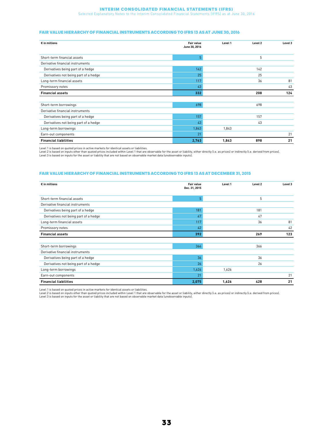#### Interim Consolidated Financial Statements (IFRS)

Selected Explanatory Notes to the Interim Consolidated Financial Statements (IFRS) as at June 30, 2016

#### FAIR VALUE HIERARCHY OF FINANCIAL INSTRUMENTS ACCORDING TO IFRS 13 AS AT JUNE 30, 2016

| $\epsilon$ in millions                | Fair value<br>June 30, 2016 | Level 1 | Level 2 | Level 3 |
|---------------------------------------|-----------------------------|---------|---------|---------|
| Short-term financial assets           | 5 <sup>1</sup>              |         | 5       |         |
| Derivative financial instruments      |                             |         |         |         |
| Derivatives being part of a hedge     | 142                         |         | 142     |         |
| Derivatives not being part of a hedge | 25                          |         | 25      |         |
| Long-term financial assets            | 117                         |         | 36      | 81      |
| Promissory notes                      | 43                          |         |         | 43      |
| <b>Financial assets</b>               | 332                         |         | 208     | 124     |
|                                       |                             |         |         |         |
| Short-term borrowings                 | 698                         |         | 698     |         |
| Derivative financial instruments      |                             |         |         |         |
| Derivatives being part of a hedge     | 157                         |         | 157     |         |
| Derivatives not being part of a hedge | 43                          |         | 43      |         |
| Long-term borrowings                  | 1,843                       | 1,843   |         |         |
| Earn-out components                   | 21                          |         |         | 21      |
| <b>Financial liabilities</b>          | 2,763                       | 1,843   | 898     | 21      |

Level 1 is based on quoted prices in active markets for identical assets or liabilities.

Level 2 is based on inputs other than quoted prices included within Level 1 that are observable for the asset or liability, either directly (i.e. as prices) or indirectly (i.e. derived from prices).<br>Level 3 is based on inp

#### FAIR VALUE HIERARCHY OF FINANCIAL INSTRUMENTS ACCORDING TO IFRS 13 AS AT DECEMBER 31, 2015

| $\epsilon$ in millions                | <b>Fair value</b><br>Dec. 31, 2015 | Level 1 | Level 2 | Level 3 |
|---------------------------------------|------------------------------------|---------|---------|---------|
| Short-term financial assets           | 5                                  |         | 5       |         |
| Derivative financial instruments      |                                    |         |         |         |
| Derivatives being part of a hedge     | 181                                |         | 181     |         |
| Derivatives not being part of a hedge | 47                                 |         | 47      |         |
| Long-term financial assets            | 117                                |         | 36      | 81      |
| Promissory notes                      | 42                                 |         |         | 42      |
| <b>Financial assets</b>               | 392                                |         | 269     | 123     |
| Short-term borrowings                 | 366                                |         | 366     |         |
| Derivative financial instruments      |                                    |         |         |         |
| Derivatives being part of a hedge     | 36                                 |         | 36      |         |
| Derivatives not being part of a hedge | 26                                 |         | 26      |         |
| Long-term borrowings                  | 1,626                              | 1,626   |         |         |
| Earn-out components                   | 21                                 |         |         | 21      |
| <b>Financial liabilities</b>          | 2,075                              | 1,626   | 428     | 21      |

Level 1 is based on quoted prices in active markets for identical assets or liabilities.<br>Level 2 is based on inputs other than quoted prices included within Level than abservable for the asset or liability, either directly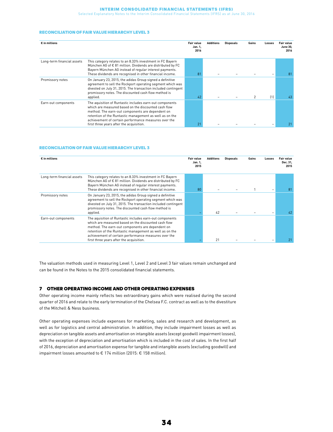#### Interim Consolidated Financial Statements (IFRS)

Selected Explanatory Notes to the Interim Consolidated Financial Statements (IFRS) as at June 30, 2016

#### RECONCILIATION OF FAIR VALUE HIERARCHY LEVEL 3

| $\epsilon$ in millions     |                                                                                                                                                                                                                                                                                                                                     | Fair value<br>Jan. 1,<br>2016 | <b>Additions</b> | <b>Disposals</b> | Gains | Losses | <b>Fair value</b><br>June 30,<br>2016 |
|----------------------------|-------------------------------------------------------------------------------------------------------------------------------------------------------------------------------------------------------------------------------------------------------------------------------------------------------------------------------------|-------------------------------|------------------|------------------|-------|--------|---------------------------------------|
| Long-term financial assets | This category relates to an 8.33% investment in FC Bayern<br>München AG of $\epsilon$ 81 million. Dividends are distributed by FC<br>Bayern München AG instead of regular interest payments.<br>These dividends are recognised in other financial income.                                                                           | 81                            |                  |                  |       |        | 81                                    |
| Promissory notes           | On January 23, 2015, the adidas Group signed a definitive<br>agreement to sell the Rockport operating segment which was<br>divested on July 31, 2015. The transaction included contingent<br>promissory notes. The discounted cash flow method is<br>applied.                                                                       | 42                            |                  |                  |       | (1)    | 43                                    |
| Earn-out components        | The aquisition of Runtastic includes earn-out components<br>which are measured based on the discounted cash flow<br>method. The earn-out components are dependent on<br>retention of the Runtastic management as well as on the<br>achievement of certain performance measures over the<br>first three years after the acquisition. | $2^{\circ}$                   |                  |                  |       |        |                                       |

#### RECONCILIATION OF FAIR VALUE HIERARCHY LEVEL 3

| $\epsilon$ in millions     |                                                                                                                                                                                                                                                                                                                                     | <b>Fair value</b><br>Jan. 1,<br>2015 | <b>Additions</b> | <b>Disposals</b> | Gains | Losses | <b>Fair value</b><br>Dec. 31,<br>2015 |
|----------------------------|-------------------------------------------------------------------------------------------------------------------------------------------------------------------------------------------------------------------------------------------------------------------------------------------------------------------------------------|--------------------------------------|------------------|------------------|-------|--------|---------------------------------------|
| Long-term financial assets | This category relates to an 8.33% investment in FC Bayern<br>München AG of €81 million. Dividends are distributed by FC<br>Bayern München AG instead of regular interest payments.<br>These dividends are recognised in other financial income.                                                                                     | 80                                   |                  |                  |       |        | 81                                    |
| Promissory notes           | On January 23, 2015, the adidas Group signed a definitive<br>agreement to sell the Rockport operating segment which was<br>divested on July 31, 2015. The transaction included contingent<br>promissory notes. The discounted cash flow method is<br>applied.                                                                       |                                      | 42               |                  |       |        | 42                                    |
| Earn-out components        | The aquisition of Runtastic includes earn-out components<br>which are measured based on the discounted cash flow<br>method. The earn-out components are dependent on<br>retention of the Runtastic management as well as on the<br>achievement of certain performance measures over the<br>first three years after the acquisition. |                                      | 21               |                  |       |        |                                       |

The valuation methods used in measuring Level 1, Level 2 and Level 3 fair values remain unchanged and can be found in the Notes to the 2015 consolidated financial statements.

#### 7 OTHER OPERATING INCOME AND OTHER OPERATING EXPENSES

Other operating income mainly reflects two extraordinary gains which were realised during the second quarter of 2016 and relate to the early termination of the Chelsea F.C. contract as well as to the divestiture of the Mitchell & Ness business.

Other operating expenses include expenses for marketing, sales and research and development, as well as for logistics and central administration. In addition, they include impairment losses as well as depreciation on tangible assets and amortisation on intangible assets (except goodwill impairment losses), with the exception of depreciation and amortisation which is included in the cost of sales. In the first half of 2016, depreciation and amortisation expense for tangible and intangible assets (excluding goodwill) and impairment losses amounted to € 174 million (2015: € 158 million).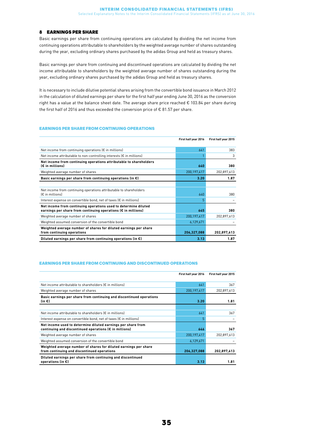#### 8 EARNINGS PER SHARE

Basic earnings per share from continuing operations are calculated by dividing the net income from continuing operations attributable to shareholders by the weighted average number of shares outstanding during the year, excluding ordinary shares purchased by the adidas Group and held as treasury shares.

Basic earnings per share from continuing and discontinued operations are calculated by dividing the net income attributable to shareholders by the weighted average number of shares outstanding during the year, excluding ordinary shares purchased by the adidas Group and held as treasury shares.

It is necessary to include dilutive potential shares arising from the convertible bond issuance in March 2012 in the calculation of diluted earnings per share for the first half year ending June 30, 2016 as the conversion right has a value at the balance sheet date. The average share price reached € 103.84 per share during the first half of 2016 and thus exceeded the conversion price of  $\epsilon$  81.57 per share.

#### EARNINGS PER SHARE FROM CONTINUING OPERATIONS

|                                                                              | First half year 2016 | First half year 2015 |
|------------------------------------------------------------------------------|----------------------|----------------------|
|                                                                              |                      |                      |
| Net income from continuing operations $\left(\epsilon\right)$ in millions)   | 641                  | 383                  |
| Net income attributable to non-controlling interests $\epsilon$ in millions) |                      | 3                    |
| Net income from continuing operations attributable to shareholders           |                      |                      |
| (€ in millions)                                                              | 640                  | 380                  |
| Weighted average number of shares                                            | 200, 197, 417        | 202,897,613          |
| Basic earnings per share from continuing operations (in $\epsilon$ )         | 3.20                 | 1.87                 |
|                                                                              |                      |                      |
| Net income from continuing operations attributable to shareholders           |                      |                      |
| $E$ in millions)                                                             | 640                  | 380                  |
| Interest expense on convertible bond, net of taxes $\epsilon$ in millions)   | 5                    |                      |
| Net income from continuing operations used to determine diluted              |                      |                      |
| earnings per share from continuing operations (€ in millions)                | 645                  | 380                  |
| Weighted average number of shares                                            | 200, 197, 417        | 202,897,613          |
| Weighted assumed conversion of the convertible bond                          | 6,129,671            |                      |
| Weighted average number of shares for diluted earnings per share             |                      |                      |
| from continuing operations                                                   | 206,327,088          | 202,897,613          |
| Diluted earnings per share from continuing operations (in $\epsilon$ )       | 3.13                 | 1.87                 |

#### EARNINGS PER SHARE FROM CONTINUING AND DISCONTINUED OPERATIONS

|                                                                                                                        | First half year 2016 | First half year 2015 |
|------------------------------------------------------------------------------------------------------------------------|----------------------|----------------------|
| Net income attributable to shareholders (€ in millions)                                                                | 641                  | 367                  |
| Weighted average number of shares                                                                                      | 200, 197, 417        | 202,897,613          |
| Basic earnings per share from continuing and discontinued operations<br>$(in \infty)$                                  | 3.20                 | 1.81                 |
|                                                                                                                        |                      |                      |
| Net income attributable to shareholders (€ in millions)                                                                | 641                  | 367                  |
| Interest expense on convertible bond, net of taxes $\left(\epsilon\right)$ in millions)                                | 5                    |                      |
| Net income used to determine diluted earnings per share from<br>continuing and discontinued operations (€ in millions) | 646                  | 367                  |
| Weighted average number of shares                                                                                      | 200, 197, 417        | 202,897,613          |
| Weighted assumed conversion of the convertible bond                                                                    | 6,129,671            |                      |
| Weighted average number of shares for diluted earnings per share<br>from continuing and discontinued operations        | 206,327,088          | 202,897,613          |
| Diluted earnings per share from continuing and discontinued<br>operations (in $\epsilon$ )                             | 3.13                 | 1.81                 |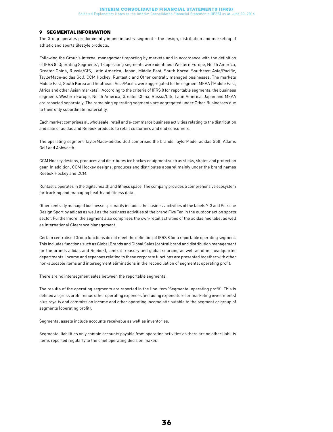#### 9 SEGMENTAL INFORMATION

The Group operates predominantly in one industry segment – the design, distribution and marketing of athletic and sports lifestyle products.

Following the Group's internal management reporting by markets and in accordance with the definition of IFRS 8 'Operating Segments', 13 operating segments were identified: Western Europe, North America, Greater China, Russia/CIS, Latin America, Japan, Middle East, South Korea, Southeast Asia/Pacific, TaylorMade-adidas Golf, CCM Hockey, Runtastic and Other centrally managed businesses. The markets Middle East, South Korea and Southeast Asia/Pacific were aggregated to the segment MEAA ('Middle East, Africa and other Asian markets'). According to the criteria of IFRS 8 for reportable segments, the business segments Western Europe, North America, Greater China, Russia/CIS, Latin America, Japan and MEAA are reported separately. The remaining operating segments are aggregated under Other Businesses due to their only subordinate materiality.

Each market comprises all wholesale, retail and e-commerce business activities relating to the distribution and sale of adidas and Reebok products to retail customers and end consumers.

The operating segment TaylorMade-adidas Golf comprises the brands TaylorMade, adidas Golf, Adams Golf and Ashworth.

CCM Hockey designs, produces and distributes ice hockey equipment such as sticks, skates and protection gear. In addition, CCM Hockey designs, produces and distributes apparel mainly under the brand names Reebok Hockey and CCM.

Runtastic operates in the digital health and fitness space. The company provides a comprehensive ecosystem for tracking and managing health and fitness data.

Other centrally managed businesses primarily includes the business activities of the labels Y-3 and Porsche Design Sport by adidas as well as the business activities of the brand Five Ten in the outdoor action sports sector. Furthermore, the segment also comprises the own-retail activities of the adidas neo label as well as International Clearance Management.

Certain centralised Group functions do not meet the definition of IFRS 8 for a reportable operating segment. This includes functions such as Global Brands and Global Sales (central brand and distribution management for the brands adidas and Reebok), central treasury and global sourcing as well as other headquarter departments. Income and expenses relating to these corporate functions are presented together with other non-allocable items and intersegment eliminations in the reconciliation of segmental operating profit.

There are no intersegment sales between the reportable segments.

The results of the operating segments are reported in the line item 'Segmental operating profit'. This is defined as gross profit minus other operating expenses (including expenditure for marketing investments) plus royalty and commission income and other operating income attributable to the segment or group of segments (operating profit).

Segmental assets include accounts receivable as well as inventories.

Segmental liabilities only contain accounts payable from operating activities as there are no other liability items reported regularly to the chief operating decision maker.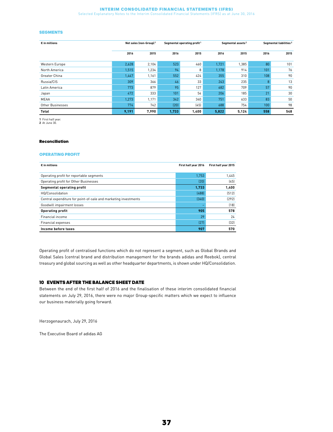#### Interim Consolidated Financial Statements (IFRS)

Selected Explanatory Notes to the Interim Consolidated Financial Statements (IFRS) as at June 30, 2016

#### **SEGMENTS**

| $\epsilon$ in millions |       | Net sales (non-Group) <sup>1</sup> |       | Segmental operating profit <sup>1</sup> |       | Segmental assets <sup>2</sup> |      | Segmental liabilities <sup>2</sup> |
|------------------------|-------|------------------------------------|-------|-----------------------------------------|-------|-------------------------------|------|------------------------------------|
|                        | 2016  | 2015                               | 2016  | 2015                                    | 2016  | 2015                          | 2016 | 2015                               |
| Western Europe         | 2,628 | 2,104                              | 523   | 460                                     | 1,721 | 1,385                         | 80   | 101                                |
| North America          | 1,515 | 1,234                              | 94    | 8                                       | 1,178 | 914                           | 101  | 76                                 |
| Greater China          | 1,447 | 1,161                              | 552   | 424                                     | 355   | 310                           | 108  | 90                                 |
| Russia/CIS             | 309   | 366                                | 46    | 33                                      | 243   | 235                           | 8    | 13                                 |
| Latin America          | 773   | 879                                | 95    | 127                                     | 682   | 709                           | 57   | 90                                 |
| Japan                  | 472   | 333                                | 101   | 54                                      | 206   | 185                           | 21   | 30                                 |
| <b>MEAA</b>            | 1,273 | 1,171                              | 342   | 340                                     | 751   | 633                           | 83   | 50                                 |
| Other Businesses       | 774   | 742                                | (20)  | (45)                                    | 688   | 754                           | 100  | 98                                 |
| Total                  | 9,191 | 7,990                              | 1,733 | 1,400                                   | 5,822 | 5,124                         | 558  | 548                                |

1 First half year. 2 At June 30.

#### Reconciliation

#### OPERATING PROFIT

| $\epsilon$ in millions                                          | First half year 2016 | First half year 2015 |
|-----------------------------------------------------------------|----------------------|----------------------|
|                                                                 |                      |                      |
| Operating profit for reportable segments                        | 1.753                | 1.445                |
| Operating profit for Other Businesses                           | (20)                 | (45)                 |
| Segmental operating profit                                      | 1,733                | 1,400                |
| HQ/Consolidation                                                | (488)                | (512)                |
| Central expenditure for point-of-sale and marketing investments | (340)                | [292]                |
| Goodwill impairment losses                                      |                      | [18]                 |
| <b>Operating profit</b>                                         | 905                  | 578                  |
| Financial income                                                | 29                   | 24                   |
| Financial expenses                                              | (27)                 | (32)                 |
| Income before taxes                                             | 907                  | 570                  |

Operating profit of centralised functions which do not represent a segment, such as Global Brands and Global Sales (central brand and distribution management for the brands adidas and Reebok), central treasury and global sourcing as well as other headquarter departments, is shown under HQ/Consolidation.

#### 10 EVENTS AFTER THE BALANCE SHEET DATE

Between the end of the first half of 2016 and the finalisation of these interim consolidated financial statements on July 29, 2016, there were no major Group-specific matters which we expect to influence our business materially going forward.

Herzogenaurach, July 29, 2016

The Executive Board of adidas AG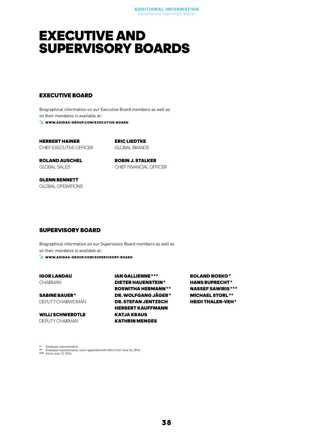### <span id="page-37-0"></span>EXECUTIVE AND SUPERVISORY BOARDS

#### EXECUTIVE BOARD

Biographical information on our Executive Board members as well as on their mandates is available at: WWW.ADIDAS-GROUP.COM/EXECUTIVE-BOARD

HERBERT HAINER CHIEF EXECUTIVE OFFICER ERIC LIEDTKE GLOBAL BRANDS

ROLAND AUSCHEL GLOBAL SALES

ROBIN J. STALKER CHIEF FINANCIAL OFFICER

GLENN BENNETT GLOBAL OPERATIONS

#### SUPERVISORY BOARD

Biographical information on our Supervisory Board members as well as on their mandates is available at:

WWW.ADIDAS-GROUP.COM/SUPERVISORY-BOARD

IGOR LANDAU **CHAIRMAN** 

SABINE BAUER\* DEPUTY CHAIRWOMAN

WILLI SCHWERDTLE DEPUTY CHAIRMAN

IAN GALLIENNE\*\*\* DIETER HAUENSTEIN\* ROSWITHA HERMANN\*\* DR. WOLFGANG JÄGER\* DR. STEFAN JENTZSCH HERBERT KAUFFMANN KATJA KRAUS KATHRIN MENGES

ROLAND NOSKO\* HANS RUPRECHT\* NASSEF SAWIRIS\*\*\* MICHAEL STORL\*\* HEIDI THALER-VEH\*

\* Employee representative. \*\* Employee representative, court-appointed with effect from June 24, 2016. \*\*\* Since June 15, 2016.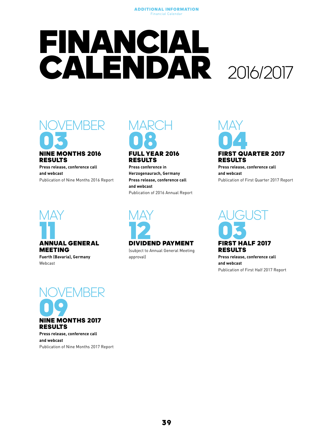## <span id="page-38-0"></span>FINANCIAL CALENDAR 2016/2017



### RESULTS

Press release, conference call and webcast Publication of Nine Months 2016 Report



Fuerth (Bavaria), Germany Webcast



### RESULTS

Press conference in Herzogenaurach, Germany Press release, conference call and webcast Publication of 2016 Annual Report



### RESULTS

Press release, conference call and webcast Publication of First Quarter 2017 Report



(subject to Annual General Meeting approval)



Press release, conference call and webcast Publication of First Half 2017 Report



Press release, conference call and webcast Publication of Nine Months 2017 Report